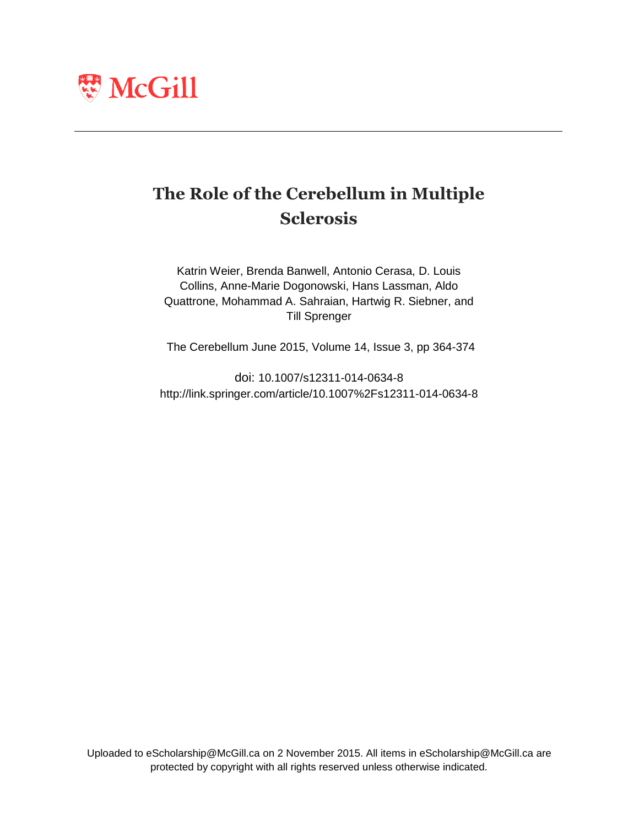

## **The Role of the Cerebellum in Multiple Sclerosis**

Katrin Weier, Brenda Banwell, Antonio Cerasa, D. Louis Collins, Anne-Marie Dogonowski, Hans Lassman, Aldo Quattrone, Mohammad A. Sahraian, Hartwig R. Siebner, and Till Sprenger

The Cerebellum June 2015, Volume 14, Issue 3, pp 364-374

doi: 10.1007/s12311-014-0634-8 http://link.springer.com/article/10.1007%2Fs12311-014-0634-8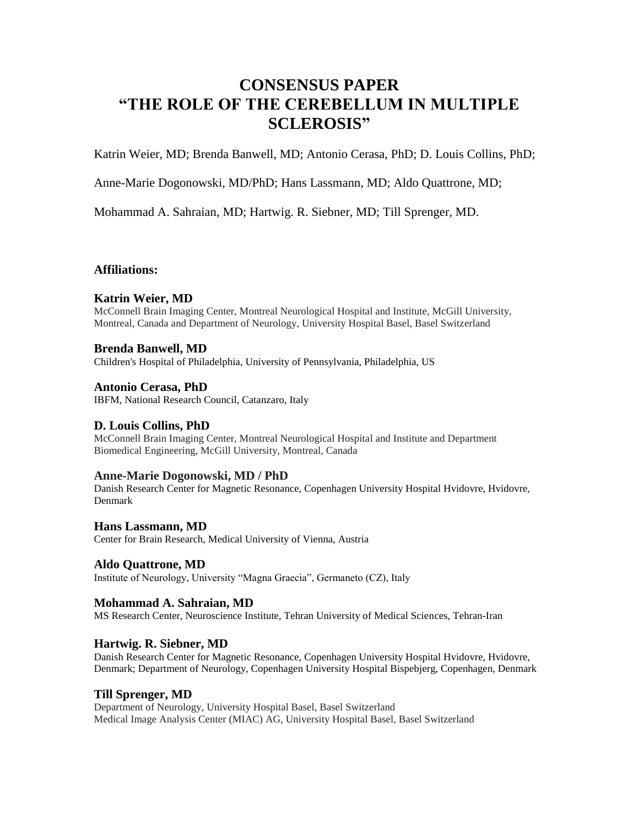## **CONSENSUS PAPER "THE ROLE OF THE CEREBELLUM IN MULTIPLE SCLEROSIS"**

Katrin Weier, MD; Brenda Banwell, MD; Antonio Cerasa, PhD; D. Louis Collins, PhD;

Anne-Marie Dogonowski, MD/PhD; Hans Lassmann, MD; Aldo Quattrone, MD;

Mohammad A. Sahraian, MD; Hartwig. R. Siebner, MD; Till Sprenger, MD.

#### **Affiliations:**

#### **Katrin Weier, MD**

McConnell Brain Imaging Center, Montreal Neurological Hospital and Institute, McGill University, Montreal, Canada and Department of Neurology, University Hospital Basel, Basel Switzerland

#### **Brenda Banwell, MD**

Children's Hospital of Philadelphia, University of Pennsylvania, Philadelphia, US

#### **Antonio Cerasa, PhD**

IBFM, National Research Council, Catanzaro, Italy

#### **D. Louis Collins, PhD**

McConnell Brain Imaging Center, Montreal Neurological Hospital and Institute and Department Biomedical Engineering, McGill University, Montreal, Canada

#### **Anne-Marie Dogonowski, MD / PhD**

Danish Research Center for Magnetic Resonance, Copenhagen University Hospital Hvidovre, Hvidovre, Denmark

### **Hans Lassmann, MD**

Center for Brain Research, Medical University of Vienna, Austria

#### **Aldo Quattrone, MD**

Institute of Neurology, University "Magna Graecia", Germaneto (CZ), Italy

#### **Mohammad A. Sahraian, MD**

MS Research Center, Neuroscience Institute, Tehran University of Medical Sciences, Tehran-Iran

#### **Hartwig. R. Siebner, MD**

Danish Research Center for Magnetic Resonance, Copenhagen University Hospital Hvidovre, Hvidovre, Denmark; Department of Neurology, Copenhagen University Hospital Bispebjerg, Copenhagen, Denmark

#### **Till Sprenger, MD**

Department of Neurology, University Hospital Basel, Basel Switzerland Medical Image Analysis Center (MIAC) AG, University Hospital Basel, Basel Switzerland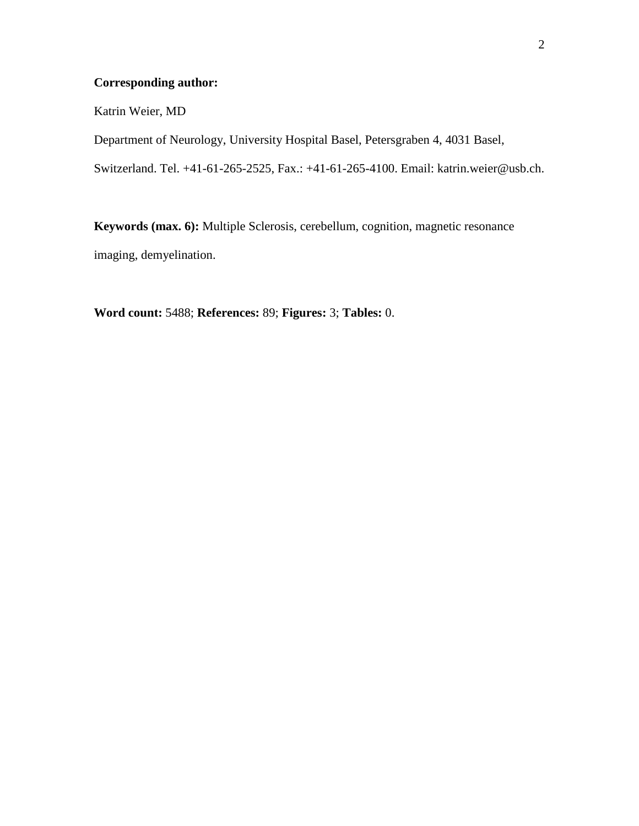## **Corresponding author:**

Katrin Weier, MD

Department of Neurology, University Hospital Basel, Petersgraben 4, 4031 Basel,

Switzerland. Tel. +41-61-265-2525, Fax.: +41-61-265-4100. Email: katrin.weier@usb.ch.

**Keywords (max. 6):** Multiple Sclerosis, cerebellum, cognition, magnetic resonance imaging, demyelination.

**Word count:** 5488; **References:** 89; **Figures:** 3; **Tables:** 0.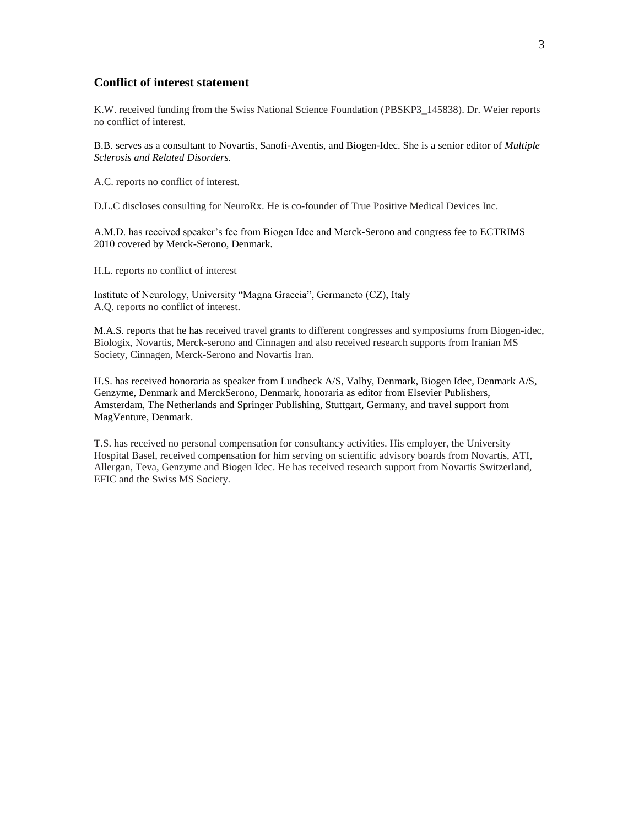#### **Conflict of interest statement**

K.W. received funding from the Swiss National Science Foundation (PBSKP3\_145838). Dr. Weier reports no conflict of interest.

B.B. serves as a consultant to Novartis, Sanofi-Aventis, and Biogen-Idec. She is a senior editor of *Multiple Sclerosis and Related Disorders.*

A.C. reports no conflict of interest.

D.L.C discloses consulting for NeuroRx. He is co-founder of True Positive Medical Devices Inc.

A.M.D. has received speaker's fee from Biogen Idec and Merck-Serono and congress fee to ECTRIMS 2010 covered by Merck-Serono, Denmark.

H.L. reports no conflict of interest

Institute of Neurology, University "Magna Graecia", Germaneto (CZ), Italy A.Q. reports no conflict of interest.

M.A.S. reports that he has received travel grants to different congresses and symposiums from Biogen-idec, Biologix, Novartis, Merck-serono and Cinnagen and also received research supports from Iranian MS Society, Cinnagen, Merck-Serono and Novartis Iran.

H.S. has received honoraria as speaker from Lundbeck A/S, Valby, Denmark, Biogen Idec, Denmark A/S, Genzyme, Denmark and MerckSerono, Denmark, honoraria as editor from Elsevier Publishers, Amsterdam, The Netherlands and Springer Publishing, Stuttgart, Germany, and travel support from MagVenture, Denmark.

T.S. has received no personal compensation for consultancy activities. His employer, the University Hospital Basel, received compensation for him serving on scientific advisory boards from Novartis, ATI, Allergan, Teva, Genzyme and Biogen Idec. He has received research support from Novartis Switzerland, EFIC and the Swiss MS Society.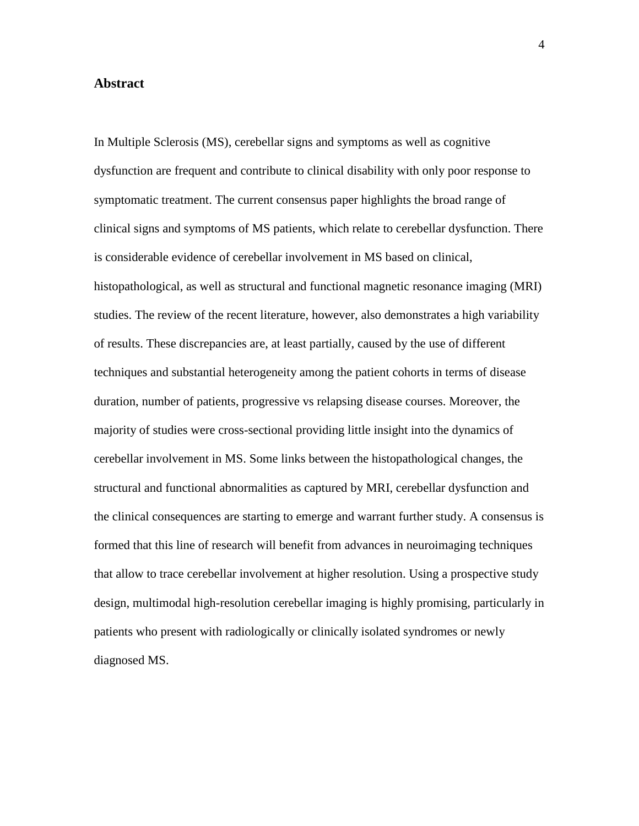#### **Abstract**

In Multiple Sclerosis (MS), cerebellar signs and symptoms as well as cognitive dysfunction are frequent and contribute to clinical disability with only poor response to symptomatic treatment. The current consensus paper highlights the broad range of clinical signs and symptoms of MS patients, which relate to cerebellar dysfunction. There is considerable evidence of cerebellar involvement in MS based on clinical, histopathological, as well as structural and functional magnetic resonance imaging (MRI) studies. The review of the recent literature, however, also demonstrates a high variability of results. These discrepancies are, at least partially, caused by the use of different techniques and substantial heterogeneity among the patient cohorts in terms of disease duration, number of patients, progressive vs relapsing disease courses. Moreover, the majority of studies were cross-sectional providing little insight into the dynamics of cerebellar involvement in MS. Some links between the histopathological changes, the structural and functional abnormalities as captured by MRI, cerebellar dysfunction and the clinical consequences are starting to emerge and warrant further study. A consensus is formed that this line of research will benefit from advances in neuroimaging techniques that allow to trace cerebellar involvement at higher resolution. Using a prospective study design, multimodal high-resolution cerebellar imaging is highly promising, particularly in patients who present with radiologically or clinically isolated syndromes or newly diagnosed MS.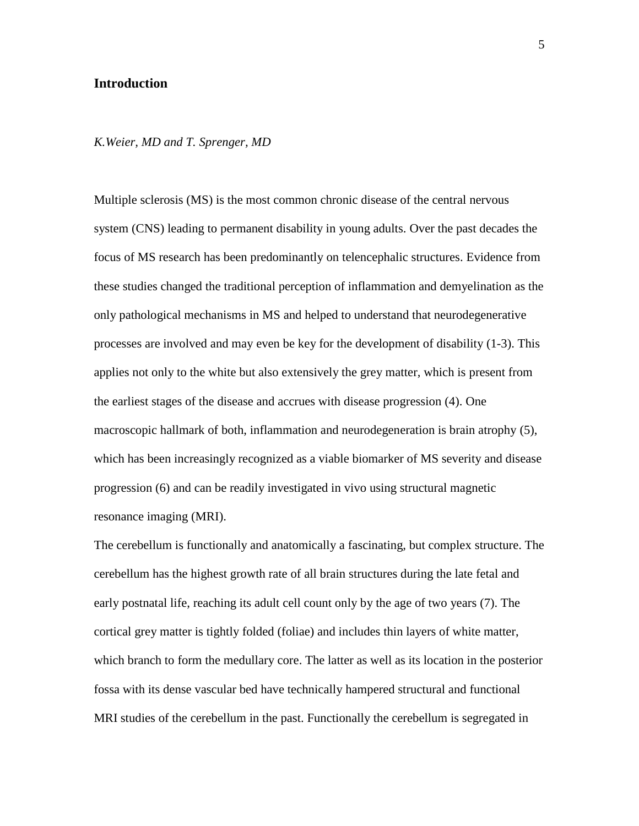#### **Introduction**

#### *K.Weier, MD and T. Sprenger, MD*

Multiple sclerosis (MS) is the most common chronic disease of the central nervous system (CNS) leading to permanent disability in young adults. Over the past decades the focus of MS research has been predominantly on telencephalic structures. Evidence from these studies changed the traditional perception of inflammation and demyelination as the only pathological mechanisms in MS and helped to understand that neurodegenerative processes are involved and may even be key for the development of disability [\(1-3\)](#page-27-0). This applies not only to the white but also extensively the grey matter, which is present from the earliest stages of the disease and accrues with disease progression [\(4\)](#page-27-1). One macroscopic hallmark of both, inflammation and neurodegeneration is brain atrophy [\(5\)](#page-27-2), which has been increasingly recognized as a viable biomarker of MS severity and disease progression [\(6\)](#page-27-3) and can be readily investigated in vivo using structural magnetic resonance imaging (MRI).

The cerebellum is functionally and anatomically a fascinating, but complex structure. The cerebellum has the highest growth rate of all brain structures during the late fetal and early postnatal life, reaching its adult cell count only by the age of two years [\(7\)](#page-27-4). The cortical grey matter is tightly folded (foliae) and includes thin layers of white matter, which branch to form the medullary core. The latter as well as its location in the posterior fossa with its dense vascular bed have technically hampered structural and functional MRI studies of the cerebellum in the past. Functionally the cerebellum is segregated in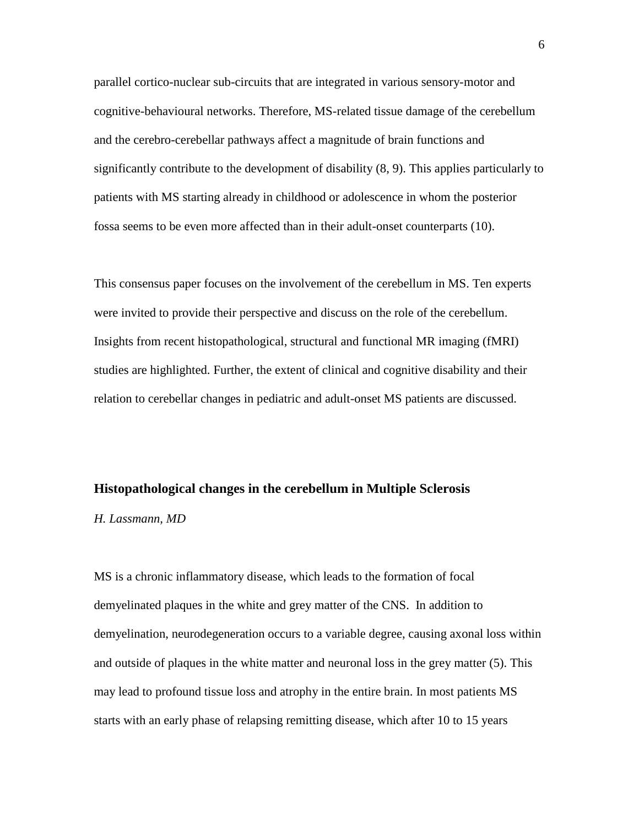parallel cortico-nuclear sub-circuits that are integrated in various sensory-motor and cognitive-behavioural networks. Therefore, MS-related tissue damage of the cerebellum and the cerebro-cerebellar pathways affect a magnitude of brain functions and significantly contribute to the development of disability [\(8,](#page-28-0) [9\)](#page-28-1). This applies particularly to patients with MS starting already in childhood or adolescence in whom the posterior fossa seems to be even more affected than in their adult-onset counterparts [\(10\)](#page-28-2).

This consensus paper focuses on the involvement of the cerebellum in MS. Ten experts were invited to provide their perspective and discuss on the role of the cerebellum. Insights from recent histopathological, structural and functional MR imaging (fMRI) studies are highlighted. Further, the extent of clinical and cognitive disability and their relation to cerebellar changes in pediatric and adult-onset MS patients are discussed.

#### **Histopathological changes in the cerebellum in Multiple Sclerosis**

*H. Lassmann, MD*

MS is a chronic inflammatory disease, which leads to the formation of focal demyelinated plaques in the white and grey matter of the CNS. In addition to demyelination, neurodegeneration occurs to a variable degree, causing axonal loss within and outside of plaques in the white matter and neuronal loss in the grey matter [\(5\)](#page-27-2). This may lead to profound tissue loss and atrophy in the entire brain. In most patients MS starts with an early phase of relapsing remitting disease, which after 10 to 15 years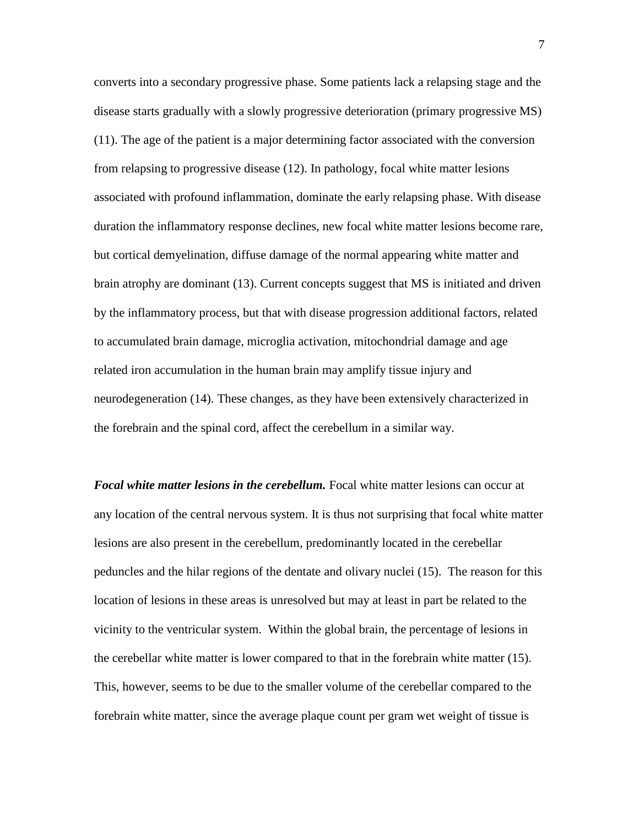converts into a secondary progressive phase. Some patients lack a relapsing stage and the disease starts gradually with a slowly progressive deterioration (primary progressive MS) [\(11\)](#page-28-3). The age of the patient is a major determining factor associated with the conversion from relapsing to progressive disease [\(12\)](#page-28-4). In pathology, focal white matter lesions associated with profound inflammation, dominate the early relapsing phase. With disease duration the inflammatory response declines, new focal white matter lesions become rare, but cortical demyelination, diffuse damage of the normal appearing white matter and brain atrophy are dominant [\(13\)](#page-28-5). Current concepts suggest that MS is initiated and driven by the inflammatory process, but that with disease progression additional factors, related to accumulated brain damage, microglia activation, mitochondrial damage and age related iron accumulation in the human brain may amplify tissue injury and neurodegeneration [\(14\)](#page-28-6). These changes, as they have been extensively characterized in the forebrain and the spinal cord, affect the cerebellum in a similar way.

*Focal white matter lesions in the cerebellum.* Focal white matter lesions can occur at any location of the central nervous system. It is thus not surprising that focal white matter lesions are also present in the cerebellum, predominantly located in the cerebellar peduncles and the hilar regions of the dentate and olivary nuclei [\(15\)](#page-29-0). The reason for this location of lesions in these areas is unresolved but may at least in part be related to the vicinity to the ventricular system. Within the global brain, the percentage of lesions in the cerebellar white matter is lower compared to that in the forebrain white matter [\(15\)](#page-29-0). This, however, seems to be due to the smaller volume of the cerebellar compared to the forebrain white matter, since the average plaque count per gram wet weight of tissue is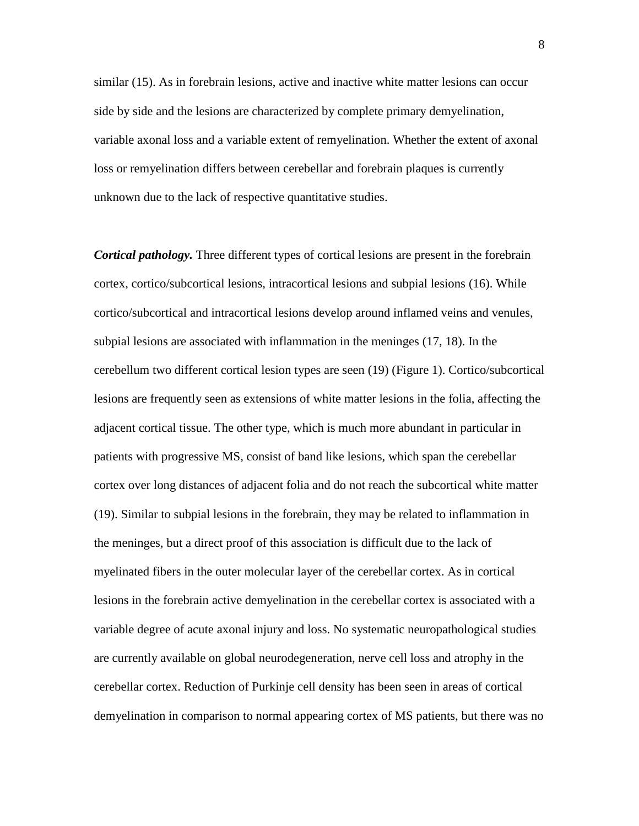similar [\(15\)](#page-29-0). As in forebrain lesions, active and inactive white matter lesions can occur side by side and the lesions are characterized by complete primary demyelination, variable axonal loss and a variable extent of remyelination. Whether the extent of axonal loss or remyelination differs between cerebellar and forebrain plaques is currently unknown due to the lack of respective quantitative studies.

*Cortical pathology.* Three different types of cortical lesions are present in the forebrain cortex, cortico/subcortical lesions, intracortical lesions and subpial lesions [\(16\)](#page-29-1). While cortico/subcortical and intracortical lesions develop around inflamed veins and venules, subpial lesions are associated with inflammation in the meninges [\(17,](#page-29-2) [18\)](#page-29-3). In the cerebellum two different cortical lesion types are seen [\(19\)](#page-29-4) (Figure 1). Cortico/subcortical lesions are frequently seen as extensions of white matter lesions in the folia, affecting the adjacent cortical tissue. The other type, which is much more abundant in particular in patients with progressive MS, consist of band like lesions, which span the cerebellar cortex over long distances of adjacent folia and do not reach the subcortical white matter [\(19\)](#page-29-4). Similar to subpial lesions in the forebrain, they may be related to inflammation in the meninges, but a direct proof of this association is difficult due to the lack of myelinated fibers in the outer molecular layer of the cerebellar cortex. As in cortical lesions in the forebrain active demyelination in the cerebellar cortex is associated with a variable degree of acute axonal injury and loss. No systematic neuropathological studies are currently available on global neurodegeneration, nerve cell loss and atrophy in the cerebellar cortex. Reduction of Purkinje cell density has been seen in areas of cortical demyelination in comparison to normal appearing cortex of MS patients, but there was no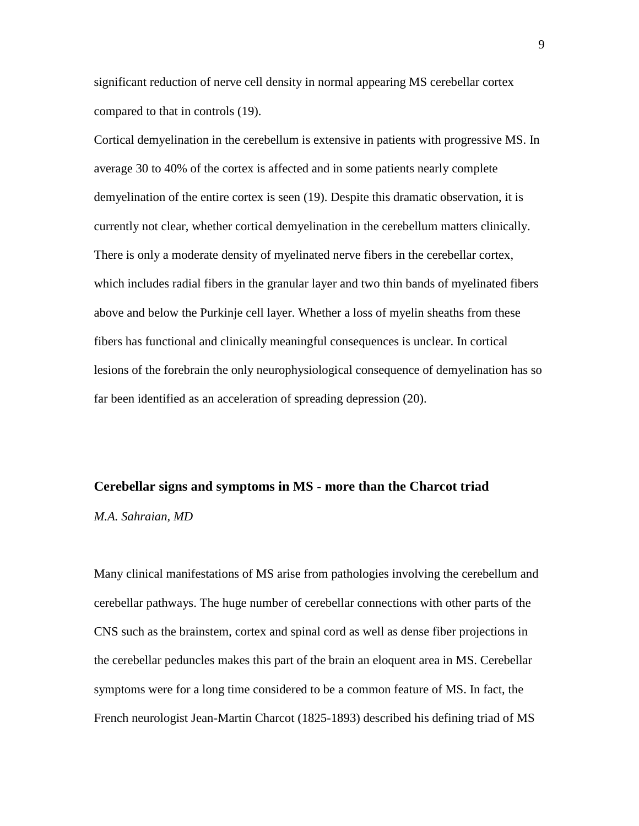significant reduction of nerve cell density in normal appearing MS cerebellar cortex compared to that in controls [\(19\)](#page-29-4).

Cortical demyelination in the cerebellum is extensive in patients with progressive MS. In average 30 to 40% of the cortex is affected and in some patients nearly complete demyelination of the entire cortex is seen [\(19\)](#page-29-4). Despite this dramatic observation, it is currently not clear, whether cortical demyelination in the cerebellum matters clinically. There is only a moderate density of myelinated nerve fibers in the cerebellar cortex, which includes radial fibers in the granular layer and two thin bands of myelinated fibers above and below the Purkinje cell layer. Whether a loss of myelin sheaths from these fibers has functional and clinically meaningful consequences is unclear. In cortical lesions of the forebrain the only neurophysiological consequence of demyelination has so far been identified as an acceleration of spreading depression [\(20\)](#page-29-5).

# **Cerebellar signs and symptoms in MS - more than the Charcot triad**

*M.A. Sahraian, MD*

Many clinical manifestations of MS arise from pathologies involving the cerebellum and cerebellar pathways. The huge number of cerebellar connections with other parts of the CNS such as the brainstem, cortex and spinal cord as well as dense fiber projections in the cerebellar peduncles makes this part of the brain an eloquent area in MS. Cerebellar symptoms were for a long time considered to be a common feature of MS. In fact, the French neurologist Jean-Martin Charcot (1825-1893) described his defining triad of MS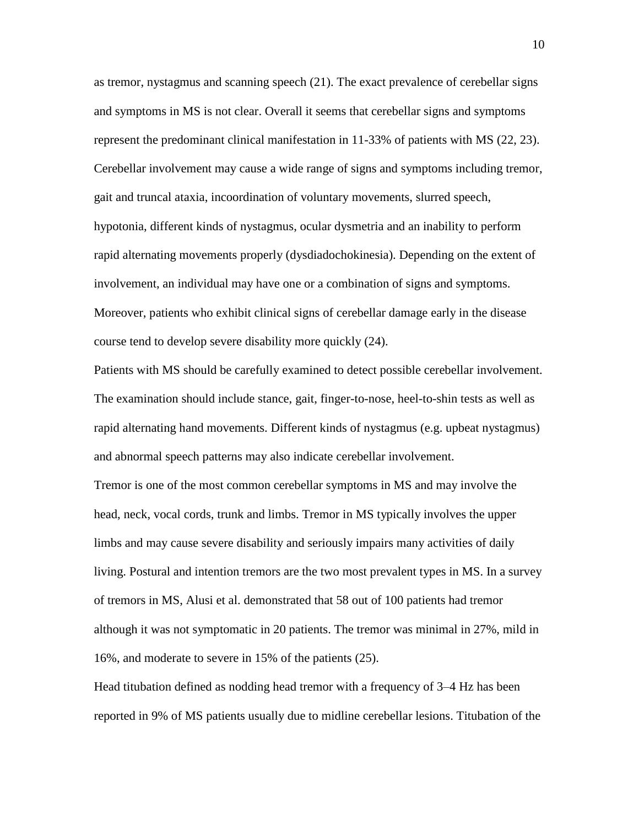as tremor, nystagmus and scanning speech [\(21\)](#page-29-6). The exact prevalence of cerebellar signs and symptoms in MS is not clear. Overall it seems that cerebellar signs and symptoms represent the predominant clinical manifestation in 11-33% of patients with MS [\(22,](#page-29-7) [23\)](#page-30-0). Cerebellar involvement may cause a wide range of signs and symptoms including tremor, gait and truncal ataxia, incoordination of voluntary movements, slurred speech, hypotonia, different kinds of nystagmus, ocular dysmetria and an inability to perform rapid alternating movements properly (dysdiadochokinesia). Depending on the extent of involvement, an individual may have one or a combination of signs and symptoms. Moreover, patients who exhibit clinical signs of cerebellar damage early in the disease course tend to develop severe disability more quickly [\(24\)](#page-30-1).

Patients with MS should be carefully examined to detect possible cerebellar involvement. The examination should include stance, gait, finger-to-nose, heel-to-shin tests as well as rapid alternating hand movements. Different kinds of nystagmus (e.g. upbeat nystagmus) and abnormal speech patterns may also indicate cerebellar involvement.

Tremor is one of the most common cerebellar symptoms in MS and may involve the head, neck, vocal cords, trunk and limbs. Tremor in MS typically involves the upper limbs and may cause severe disability and seriously impairs many activities of daily living. Postural and intention tremors are the two most prevalent types in MS. In a survey of tremors in MS, Alusi et al. demonstrated that 58 out of 100 patients had tremor although it was not symptomatic in 20 patients. The tremor was minimal in 27%, mild in 16%, and moderate to severe in 15% of the patients [\(25\)](#page-30-2).

Head titubation defined as nodding head tremor with a frequency of 3–4 Hz has been reported in 9% of MS patients usually due to midline cerebellar lesions. Titubation of the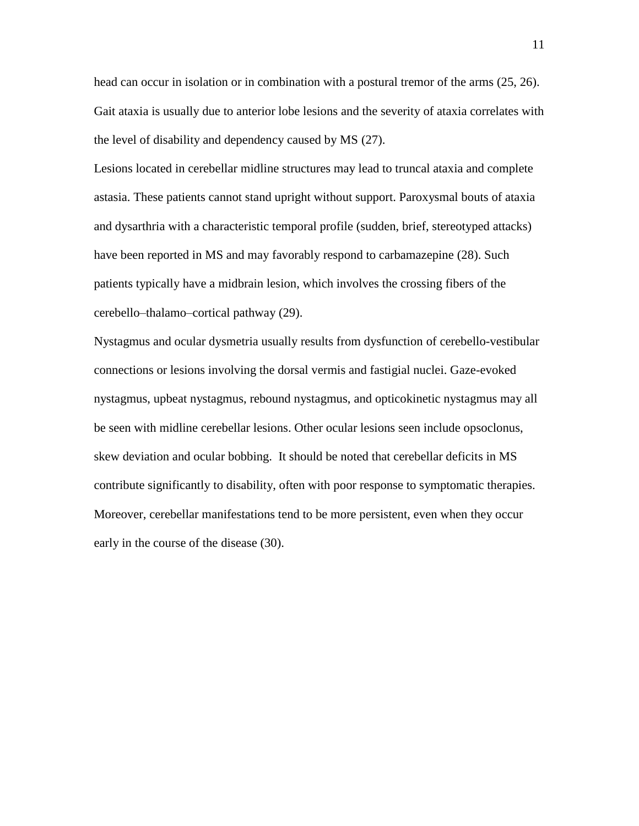head can occur in isolation or in combination with a postural tremor of the arms [\(25,](#page-30-2) [26\)](#page-30-3). Gait ataxia is usually due to anterior lobe lesions and the severity of ataxia correlates with the level of disability and dependency caused by MS [\(27\)](#page-30-4).

Lesions located in cerebellar midline structures may lead to truncal ataxia and complete astasia. These patients cannot stand upright without support. Paroxysmal bouts of ataxia and dysarthria with a characteristic temporal profile (sudden, brief, stereotyped attacks) have been reported in MS and may favorably respond to carbamazepine [\(28\)](#page-30-5). Such patients typically have a midbrain lesion, which involves the crossing fibers of the cerebello–thalamo–cortical pathway [\(29\)](#page-30-6).

Nystagmus and ocular dysmetria usually results from dysfunction of cerebello-vestibular connections or lesions involving the dorsal vermis and fastigial nuclei. Gaze-evoked nystagmus, upbeat nystagmus, rebound nystagmus, and opticokinetic nystagmus may all be seen with midline cerebellar lesions. Other ocular lesions seen include opsoclonus, skew deviation and ocular bobbing. It should be noted that cerebellar deficits in MS contribute significantly to disability, often with poor response to symptomatic therapies. Moreover, cerebellar manifestations tend to be more persistent, even when they occur early in the course of the disease [\(30\)](#page-31-0).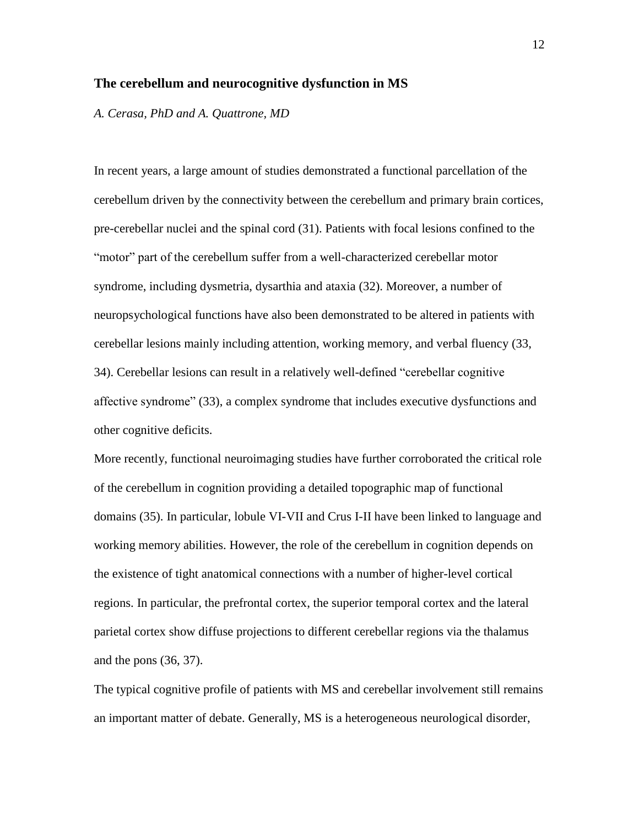#### **The cerebellum and neurocognitive dysfunction in MS**

*A. Cerasa, PhD and A. Quattrone, MD*

In recent years, a large amount of studies demonstrated a functional parcellation of the cerebellum driven by the connectivity between the cerebellum and primary brain cortices, pre-cerebellar nuclei and the spinal cord [\(31\)](#page-31-1). Patients with focal lesions confined to the "motor" part of the cerebellum suffer from a well-characterized cerebellar motor syndrome, including dysmetria, dysarthia and ataxia [\(32\)](#page-31-2). Moreover, a number of neuropsychological functions have also been demonstrated to be altered in patients with cerebellar lesions mainly including attention, working memory, and verbal fluency [\(33,](#page-31-3) [34\)](#page-31-4). Cerebellar lesions can result in a relatively well-defined "cerebellar cognitive affective syndrome" [\(33\)](#page-31-3), a complex syndrome that includes executive dysfunctions and other cognitive deficits.

More recently, functional neuroimaging studies have further corroborated the critical role of the cerebellum in cognition providing a detailed topographic map of functional domains [\(35\)](#page-31-5). In particular, lobule VI-VII and Crus I-II have been linked to language and working memory abilities. However, the role of the cerebellum in cognition depends on the existence of tight anatomical connections with a number of higher-level cortical regions. In particular, the prefrontal cortex, the superior temporal cortex and the lateral parietal cortex show diffuse projections to different cerebellar regions via the thalamus and the pons [\(36,](#page-31-6) [37\)](#page-32-0).

The typical cognitive profile of patients with MS and cerebellar involvement still remains an important matter of debate. Generally, MS is a heterogeneous neurological disorder,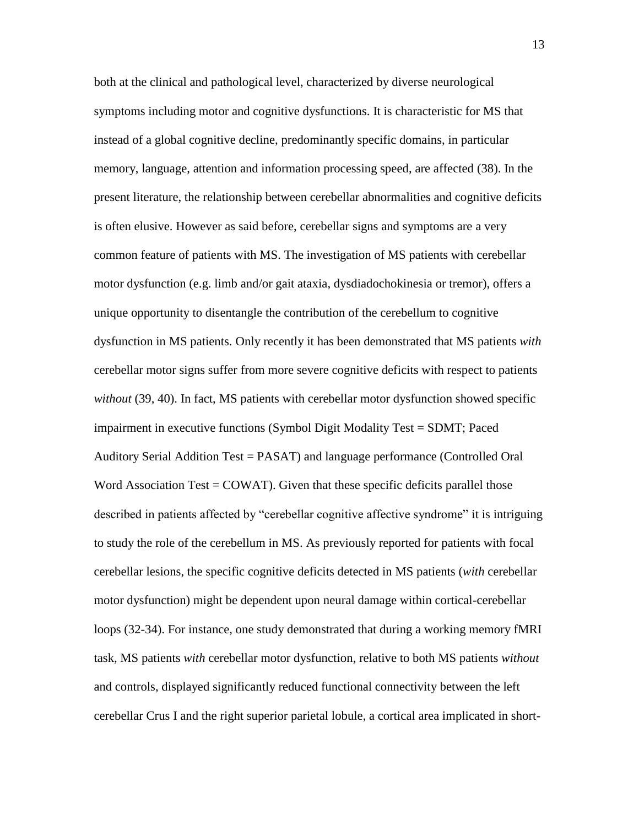both at the clinical and pathological level, characterized by diverse neurological symptoms including motor and cognitive dysfunctions. It is characteristic for MS that instead of a global cognitive decline, predominantly specific domains, in particular memory, language, attention and information processing speed, are affected [\(38\)](#page-32-1). In the present literature, the relationship between cerebellar abnormalities and cognitive deficits is often elusive. However as said before, cerebellar signs and symptoms are a very common feature of patients with MS. The investigation of MS patients with cerebellar motor dysfunction (e.g. limb and/or gait ataxia, dysdiadochokinesia or tremor), offers a unique opportunity to disentangle the contribution of the cerebellum to cognitive dysfunction in MS patients. Only recently it has been demonstrated that MS patients *with* cerebellar motor signs suffer from more severe cognitive deficits with respect to patients *without* [\(39,](#page-32-2) [40\)](#page-32-3). In fact, MS patients with cerebellar motor dysfunction showed specific impairment in executive functions (Symbol Digit Modality Test = SDMT; Paced Auditory Serial Addition Test = PASAT) and language performance (Controlled Oral Word Association Test  $=$  COWAT). Given that these specific deficits parallel those described in patients affected by "cerebellar cognitive affective syndrome" it is intriguing to study the role of the cerebellum in MS. As previously reported for patients with focal cerebellar lesions, the specific cognitive deficits detected in MS patients (*with* cerebellar motor dysfunction) might be dependent upon neural damage within cortical-cerebellar loops [\(32-34\)](#page-31-2). For instance, one study demonstrated that during a working memory fMRI task, MS patients *with* cerebellar motor dysfunction, relative to both MS patients *without* and controls, displayed significantly reduced functional connectivity between the left cerebellar Crus I and the right superior parietal lobule, a cortical area implicated in short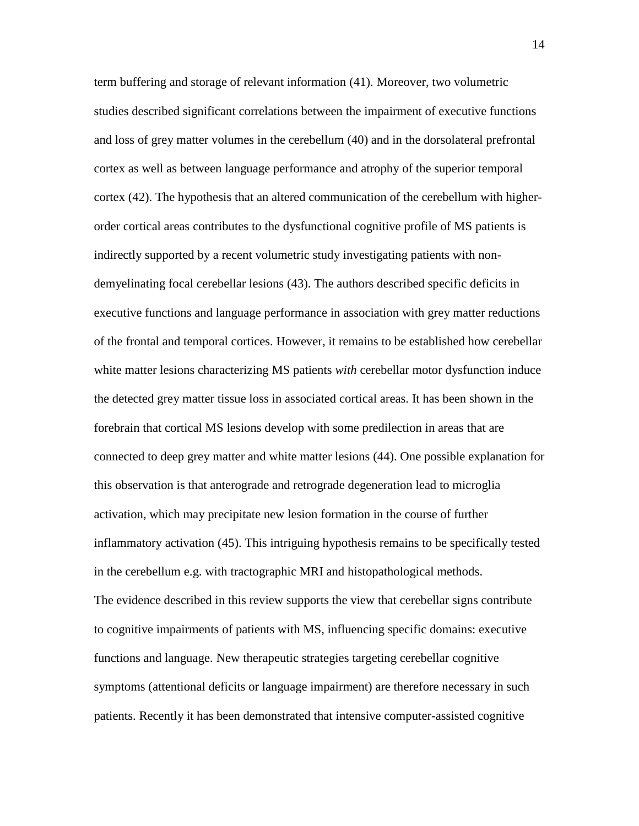term buffering and storage of relevant information [\(41\)](#page-32-4). Moreover, two volumetric studies described significant correlations between the impairment of executive functions and loss of grey matter volumes in the cerebellum [\(40\)](#page-32-3) and in the dorsolateral prefrontal cortex as well as between language performance and atrophy of the superior temporal cortex [\(42\)](#page-32-5). The hypothesis that an altered communication of the cerebellum with higherorder cortical areas contributes to the dysfunctional cognitive profile of MS patients is indirectly supported by a recent volumetric study investigating patients with nondemyelinating focal cerebellar lesions [\(43\)](#page-32-6). The authors described specific deficits in executive functions and language performance in association with grey matter reductions of the frontal and temporal cortices. However, it remains to be established how cerebellar white matter lesions characterizing MS patients *with* cerebellar motor dysfunction induce the detected grey matter tissue loss in associated cortical areas. It has been shown in the forebrain that cortical MS lesions develop with some predilection in areas that are connected to deep grey matter and white matter lesions [\(44\)](#page-33-0). One possible explanation for this observation is that anterograde and retrograde degeneration lead to microglia activation, which may precipitate new lesion formation in the course of further inflammatory activation [\(45\)](#page-33-1). This intriguing hypothesis remains to be specifically tested in the cerebellum e.g. with tractographic MRI and histopathological methods. The evidence described in this review supports the view that cerebellar signs contribute to cognitive impairments of patients with MS, influencing specific domains: executive functions and language. New therapeutic strategies targeting cerebellar cognitive symptoms (attentional deficits or language impairment) are therefore necessary in such patients. Recently it has been demonstrated that intensive computer-assisted cognitive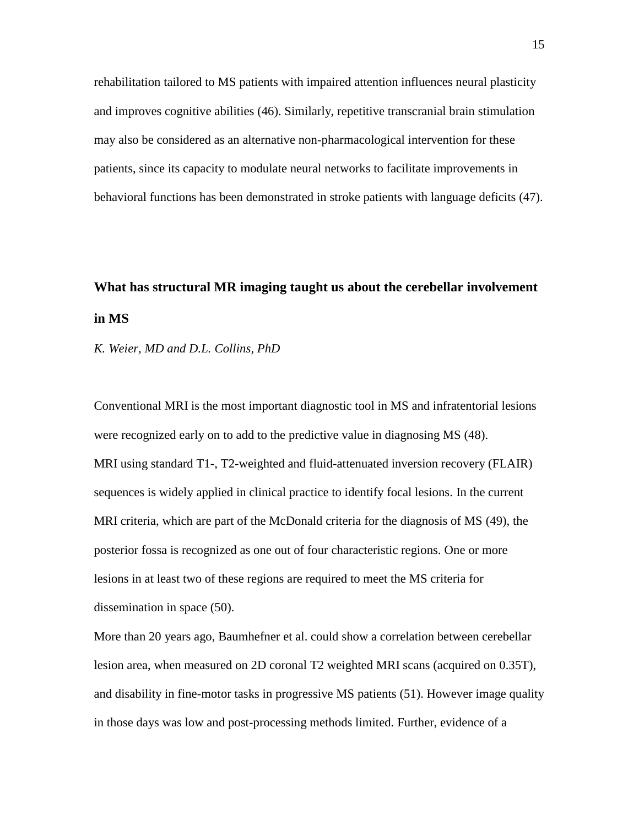rehabilitation tailored to MS patients with impaired attention influences neural plasticity and improves cognitive abilities [\(46\)](#page-33-2). Similarly, repetitive transcranial brain stimulation may also be considered as an alternative non-pharmacological intervention for these patients, since its capacity to modulate neural networks to facilitate improvements in behavioral functions has been demonstrated in stroke patients with language deficits [\(47\)](#page-33-3).

# **What has structural MR imaging taught us about the cerebellar involvement in MS**

*K. Weier, MD and D.L. Collins, PhD*

Conventional MRI is the most important diagnostic tool in MS and infratentorial lesions were recognized early on to add to the predictive value in diagnosing MS [\(48\)](#page-33-4). MRI using standard T1-, T2-weighted and fluid-attenuated inversion recovery (FLAIR) sequences is widely applied in clinical practice to identify focal lesions. In the current MRI criteria, which are part of the McDonald criteria for the diagnosis of MS [\(49\)](#page-33-5), the posterior fossa is recognized as one out of four characteristic regions. One or more lesions in at least two of these regions are required to meet the MS criteria for dissemination in space [\(50\)](#page-34-0).

More than 20 years ago, Baumhefner et al. could show a correlation between cerebellar lesion area, when measured on 2D coronal T2 weighted MRI scans (acquired on 0.35T), and disability in fine-motor tasks in progressive MS patients [\(51\)](#page-34-1). However image quality in those days was low and post-processing methods limited. Further, evidence of a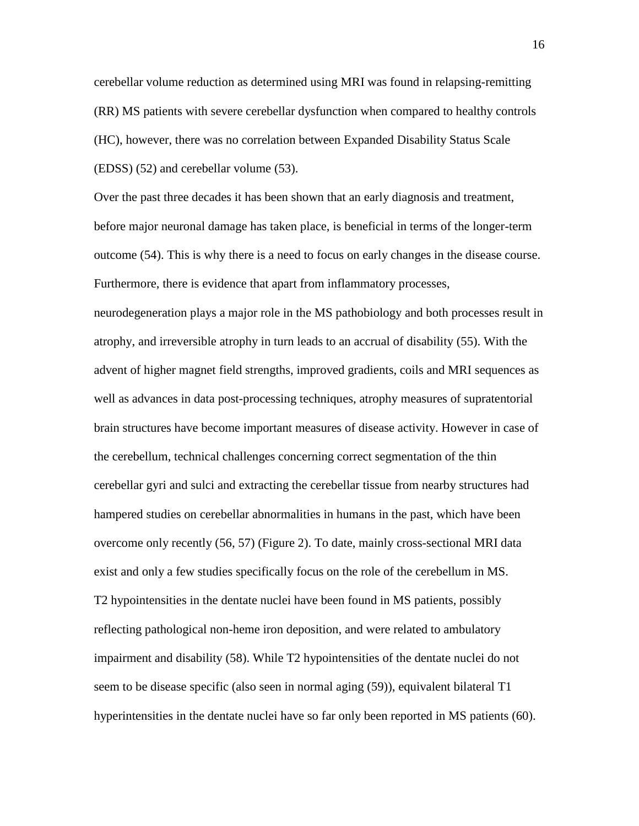cerebellar volume reduction as determined using MRI was found in relapsing-remitting (RR) MS patients with severe cerebellar dysfunction when compared to healthy controls (HC), however, there was no correlation between Expanded Disability Status Scale (EDSS) [\(52\)](#page-34-2) and cerebellar volume [\(53\)](#page-34-3).

Over the past three decades it has been shown that an early diagnosis and treatment, before major neuronal damage has taken place, is beneficial in terms of the longer-term outcome [\(54\)](#page-34-4). This is why there is a need to focus on early changes in the disease course. Furthermore, there is evidence that apart from inflammatory processes,

neurodegeneration plays a major role in the MS pathobiology and both processes result in atrophy, and irreversible atrophy in turn leads to an accrual of disability [\(55\)](#page-34-5). With the advent of higher magnet field strengths, improved gradients, coils and MRI sequences as well as advances in data post-processing techniques, atrophy measures of supratentorial brain structures have become important measures of disease activity. However in case of the cerebellum, technical challenges concerning correct segmentation of the thin cerebellar gyri and sulci and extracting the cerebellar tissue from nearby structures had hampered studies on cerebellar abnormalities in humans in the past, which have been overcome only recently [\(56,](#page-34-6) [57\)](#page-35-0) (Figure 2). To date, mainly cross-sectional MRI data exist and only a few studies specifically focus on the role of the cerebellum in MS. T2 hypointensities in the dentate nuclei have been found in MS patients, possibly reflecting pathological non-heme iron deposition, and were related to ambulatory impairment and disability [\(58\)](#page-35-1). While T2 hypointensities of the dentate nuclei do not seem to be disease specific (also seen in normal aging [\(59\)](#page-35-2)), equivalent bilateral T1 hyperintensities in the dentate nuclei have so far only been reported in MS patients [\(60\)](#page-35-3).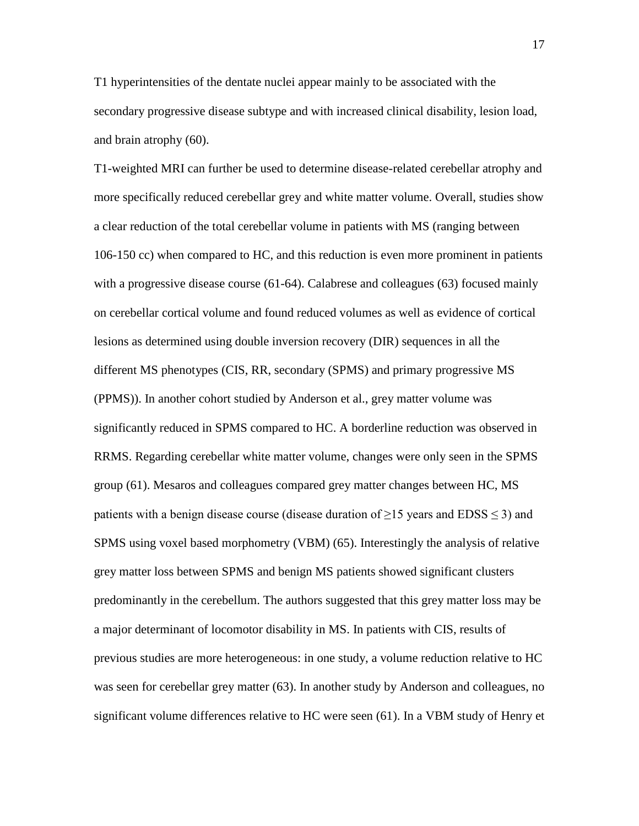T1 hyperintensities of the dentate nuclei appear mainly to be associated with the secondary progressive disease subtype and with increased clinical disability, lesion load, and brain atrophy [\(60\)](#page-35-3).

T1-weighted MRI can further be used to determine disease-related cerebellar atrophy and more specifically reduced cerebellar grey and white matter volume. Overall, studies show a clear reduction of the total cerebellar volume in patients with MS (ranging between 106-150 cc) when compared to HC, and this reduction is even more prominent in patients with a progressive disease course [\(61-64\)](#page-35-4). Calabrese and colleagues [\(63\)](#page-36-0) focused mainly on cerebellar cortical volume and found reduced volumes as well as evidence of cortical lesions as determined using double inversion recovery (DIR) sequences in all the different MS phenotypes (CIS, RR, secondary (SPMS) and primary progressive MS (PPMS)). In another cohort studied by Anderson et al., grey matter volume was significantly reduced in SPMS compared to HC. A borderline reduction was observed in RRMS. Regarding cerebellar white matter volume, changes were only seen in the SPMS group [\(61\)](#page-35-4). Mesaros and colleagues compared grey matter changes between HC, MS patients with a benign disease course (disease duration of  $\geq$ 15 years and EDSS  $\leq$ 3) and SPMS using voxel based morphometry (VBM) [\(65\)](#page-36-1). Interestingly the analysis of relative grey matter loss between SPMS and benign MS patients showed significant clusters predominantly in the cerebellum. The authors suggested that this grey matter loss may be a major determinant of locomotor disability in MS. In patients with CIS, results of previous studies are more heterogeneous: in one study, a volume reduction relative to HC was seen for cerebellar grey matter [\(63\)](#page-36-0). In another study by Anderson and colleagues, no significant volume differences relative to HC were seen [\(61\)](#page-35-4). In a VBM study of Henry et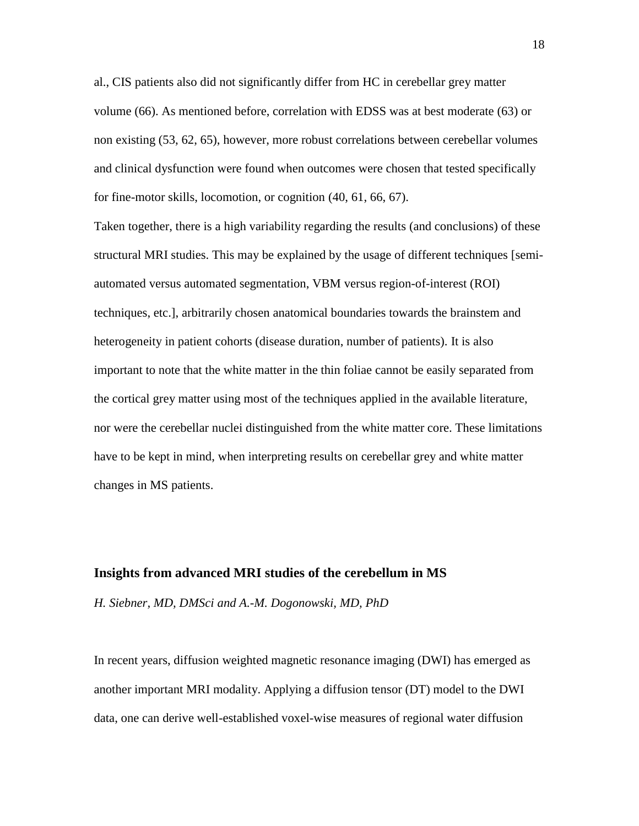al., CIS patients also did not significantly differ from HC in cerebellar grey matter volume [\(66\)](#page-36-2). As mentioned before, correlation with EDSS was at best moderate [\(63\)](#page-36-0) or non existing [\(53,](#page-34-3) [62,](#page-36-3) [65\)](#page-36-1), however, more robust correlations between cerebellar volumes and clinical dysfunction were found when outcomes were chosen that tested specifically for fine-motor skills, locomotion, or cognition [\(40,](#page-32-3) [61,](#page-35-4) [66,](#page-36-2) [67\)](#page-36-4).

Taken together, there is a high variability regarding the results (and conclusions) of these structural MRI studies. This may be explained by the usage of different techniques [semiautomated versus automated segmentation, VBM versus region-of-interest (ROI) techniques, etc.], arbitrarily chosen anatomical boundaries towards the brainstem and heterogeneity in patient cohorts (disease duration, number of patients). It is also important to note that the white matter in the thin foliae cannot be easily separated from the cortical grey matter using most of the techniques applied in the available literature, nor were the cerebellar nuclei distinguished from the white matter core. These limitations have to be kept in mind, when interpreting results on cerebellar grey and white matter changes in MS patients.

#### **Insights from advanced MRI studies of the cerebellum in MS**

*H. Siebner, MD, DMSci and A.-M. Dogonowski, MD, PhD*

In recent years, diffusion weighted magnetic resonance imaging (DWI) has emerged as another important MRI modality. Applying a diffusion tensor (DT) model to the DWI data, one can derive well-established voxel-wise measures of regional water diffusion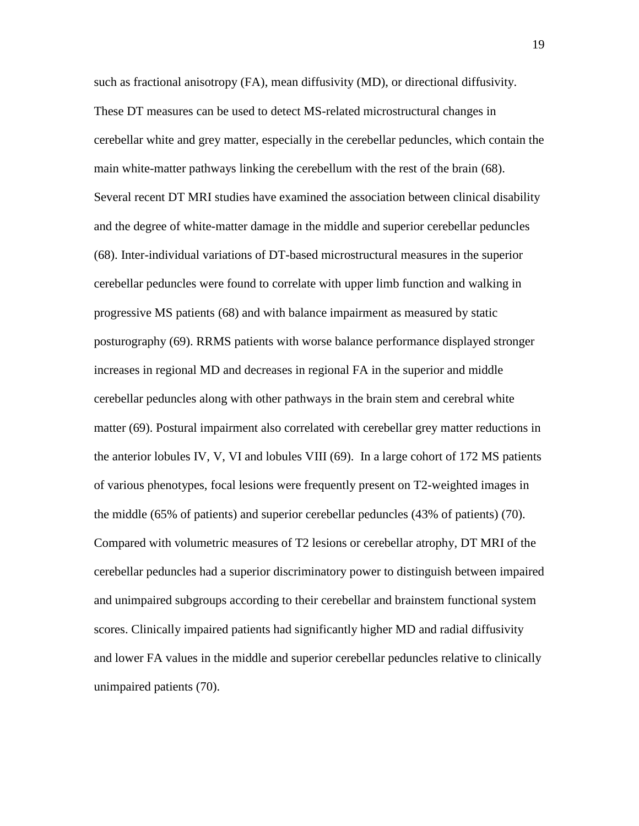such as fractional anisotropy (FA), mean diffusivity (MD), or directional diffusivity. These DT measures can be used to detect MS-related microstructural changes in cerebellar white and grey matter, especially in the cerebellar peduncles, which contain the main white-matter pathways linking the cerebellum with the rest of the brain [\(68\)](#page-36-5). Several recent DT MRI studies have examined the association between clinical disability and the degree of white-matter damage in the middle and superior cerebellar peduncles [\(68\)](#page-36-5). Inter-individual variations of DT-based microstructural measures in the superior cerebellar peduncles were found to correlate with upper limb function and walking in progressive MS patients [\(68\)](#page-36-5) and with balance impairment as measured by static posturography [\(69\)](#page-37-0). RRMS patients with worse balance performance displayed stronger increases in regional MD and decreases in regional FA in the superior and middle cerebellar peduncles along with other pathways in the brain stem and cerebral white matter [\(69\)](#page-37-0). Postural impairment also correlated with cerebellar grey matter reductions in the anterior lobules IV, V, VI and lobules VIII [\(69\)](#page-37-0). In a large cohort of 172 MS patients of various phenotypes, focal lesions were frequently present on T2-weighted images in the middle (65% of patients) and superior cerebellar peduncles (43% of patients) [\(70\)](#page-37-1). Compared with volumetric measures of T2 lesions or cerebellar atrophy, DT MRI of the cerebellar peduncles had a superior discriminatory power to distinguish between impaired and unimpaired subgroups according to their cerebellar and brainstem functional system scores. Clinically impaired patients had significantly higher MD and radial diffusivity and lower FA values in the middle and superior cerebellar peduncles relative to clinically unimpaired patients [\(70\)](#page-37-1).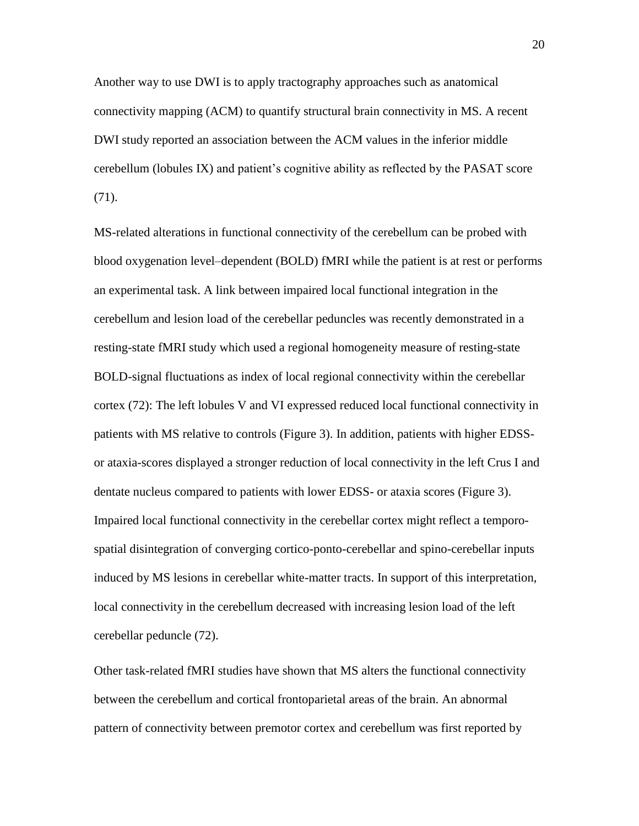Another way to use DWI is to apply tractography approaches such as anatomical connectivity mapping (ACM) to quantify structural brain connectivity in MS. A recent DWI study reported an association between the ACM values in the inferior middle cerebellum (lobules IX) and patient's cognitive ability as reflected by the PASAT score [\(71\)](#page-37-2).

MS-related alterations in functional connectivity of the cerebellum can be probed with blood oxygenation level–dependent (BOLD) fMRI while the patient is at rest or performs an experimental task. A link between impaired local functional integration in the cerebellum and lesion load of the cerebellar peduncles was recently demonstrated in a resting-state fMRI study which used a regional homogeneity measure of resting-state BOLD-signal fluctuations as index of local regional connectivity within the cerebellar cortex [\(72\)](#page-37-3): The left lobules V and VI expressed reduced local functional connectivity in patients with MS relative to controls (Figure 3). In addition, patients with higher EDSSor ataxia-scores displayed a stronger reduction of local connectivity in the left Crus I and dentate nucleus compared to patients with lower EDSS- or ataxia scores (Figure 3). Impaired local functional connectivity in the cerebellar cortex might reflect a temporospatial disintegration of converging cortico-ponto-cerebellar and spino-cerebellar inputs induced by MS lesions in cerebellar white-matter tracts. In support of this interpretation, local connectivity in the cerebellum decreased with increasing lesion load of the left cerebellar peduncle [\(72\)](#page-37-3).

Other task-related fMRI studies have shown that MS alters the functional connectivity between the cerebellum and cortical frontoparietal areas of the brain. An abnormal pattern of connectivity between premotor cortex and cerebellum was first reported by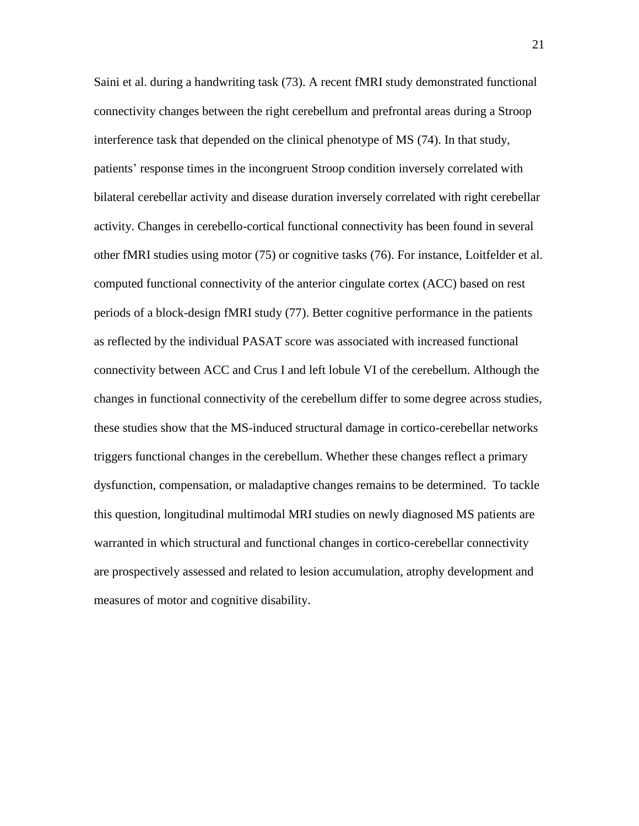Saini et al. during a handwriting task [\(73\)](#page-37-4). A recent fMRI study demonstrated functional connectivity changes between the right cerebellum and prefrontal areas during a Stroop interference task that depended on the clinical phenotype of MS [\(74\)](#page-37-5). In that study, patients' response times in the incongruent Stroop condition inversely correlated with bilateral cerebellar activity and disease duration inversely correlated with right cerebellar activity. Changes in cerebello-cortical functional connectivity has been found in several other fMRI studies using motor [\(75\)](#page-37-6) or cognitive tasks [\(76\)](#page-38-0). For instance, Loitfelder et al. computed functional connectivity of the anterior cingulate cortex (ACC) based on rest periods of a block-design fMRI study [\(77\)](#page-38-1). Better cognitive performance in the patients as reflected by the individual PASAT score was associated with increased functional connectivity between ACC and Crus I and left lobule VI of the cerebellum. Although the changes in functional connectivity of the cerebellum differ to some degree across studies, these studies show that the MS-induced structural damage in cortico-cerebellar networks triggers functional changes in the cerebellum. Whether these changes reflect a primary dysfunction, compensation, or maladaptive changes remains to be determined. To tackle this question, longitudinal multimodal MRI studies on newly diagnosed MS patients are warranted in which structural and functional changes in cortico-cerebellar connectivity are prospectively assessed and related to lesion accumulation, atrophy development and measures of motor and cognitive disability.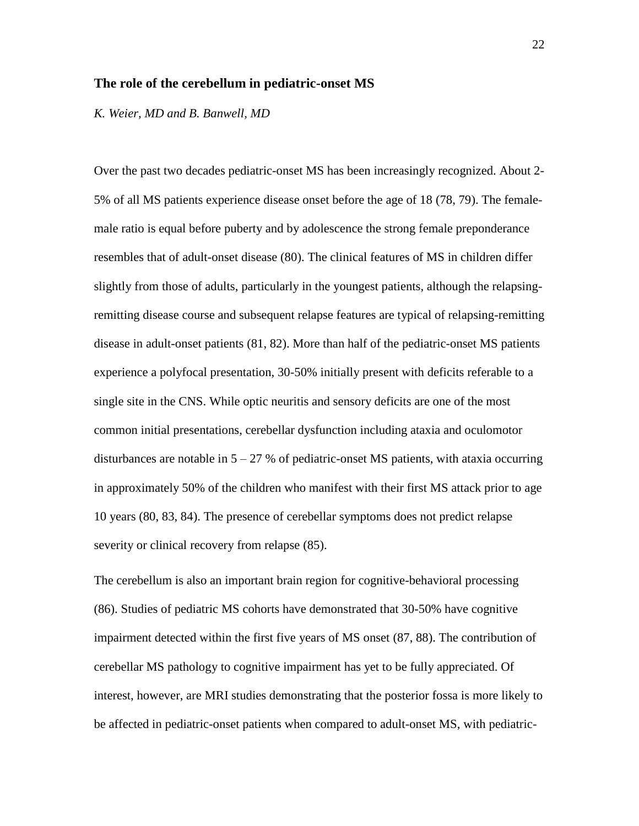#### **The role of the cerebellum in pediatric-onset MS**

*K. Weier, MD and B. Banwell, MD*

Over the past two decades pediatric-onset MS has been increasingly recognized. About 2- 5% of all MS patients experience disease onset before the age of 18 [\(78,](#page-38-2) [79\)](#page-38-3). The femalemale ratio is equal before puberty and by adolescence the strong female preponderance resembles that of adult-onset disease [\(80\)](#page-38-4). The clinical features of MS in children differ slightly from those of adults, particularly in the youngest patients, although the relapsingremitting disease course and subsequent relapse features are typical of relapsing-remitting disease in adult-onset patients [\(81,](#page-38-5) [82\)](#page-38-6). More than half of the pediatric-onset MS patients experience a polyfocal presentation, 30-50% initially present with deficits referable to a single site in the CNS. While optic neuritis and sensory deficits are one of the most common initial presentations, cerebellar dysfunction including ataxia and oculomotor disturbances are notable in  $5 - 27$  % of pediatric-onset MS patients, with ataxia occurring in approximately 50% of the children who manifest with their first MS attack prior to age 10 years [\(80,](#page-38-4) [83,](#page-39-0) [84\)](#page-39-1). The presence of cerebellar symptoms does not predict relapse severity or clinical recovery from relapse [\(85\)](#page-39-2).

The cerebellum is also an important brain region for cognitive-behavioral processing [\(86\)](#page-39-3). Studies of pediatric MS cohorts have demonstrated that 30-50% have cognitive impairment detected within the first five years of MS onset [\(87,](#page-39-4) [88\)](#page-39-5). The contribution of cerebellar MS pathology to cognitive impairment has yet to be fully appreciated. Of interest, however, are MRI studies demonstrating that the posterior fossa is more likely to be affected in pediatric-onset patients when compared to adult-onset MS, with pediatric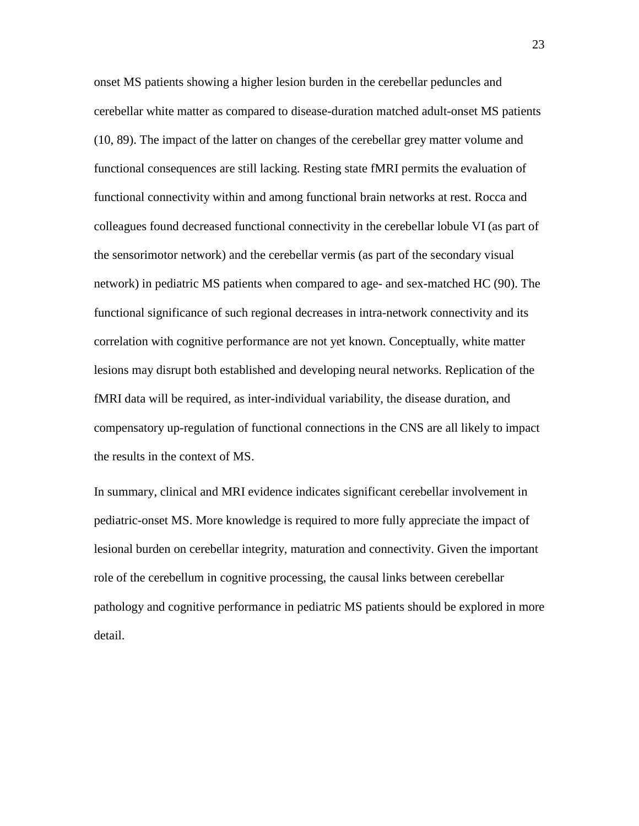onset MS patients showing a higher lesion burden in the cerebellar peduncles and cerebellar white matter as compared to disease-duration matched adult-onset MS patients [\(10,](#page-28-2) [89\)](#page-39-6). The impact of the latter on changes of the cerebellar grey matter volume and functional consequences are still lacking. Resting state fMRI permits the evaluation of functional connectivity within and among functional brain networks at rest. Rocca and colleagues found decreased functional connectivity in the cerebellar lobule VI (as part of the sensorimotor network) and the cerebellar vermis (as part of the secondary visual network) in pediatric MS patients when compared to age- and sex-matched HC [\(90\)](#page-40-0). The functional significance of such regional decreases in intra-network connectivity and its correlation with cognitive performance are not yet known. Conceptually, white matter lesions may disrupt both established and developing neural networks. Replication of the fMRI data will be required, as inter-individual variability, the disease duration, and compensatory up-regulation of functional connections in the CNS are all likely to impact the results in the context of MS.

In summary, clinical and MRI evidence indicates significant cerebellar involvement in pediatric-onset MS. More knowledge is required to more fully appreciate the impact of lesional burden on cerebellar integrity, maturation and connectivity. Given the important role of the cerebellum in cognitive processing, the causal links between cerebellar pathology and cognitive performance in pediatric MS patients should be explored in more detail.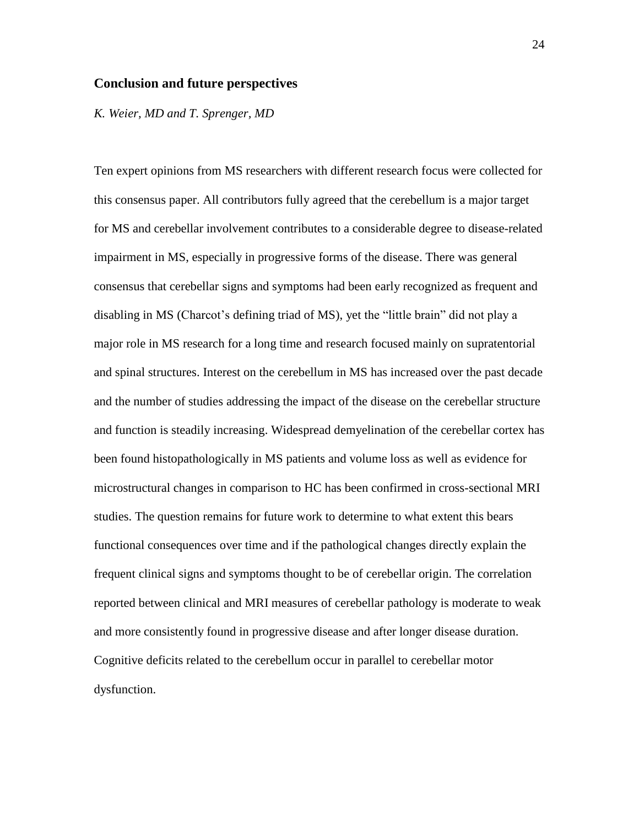#### **Conclusion and future perspectives**

*K. Weier, MD and T. Sprenger, MD*

Ten expert opinions from MS researchers with different research focus were collected for this consensus paper. All contributors fully agreed that the cerebellum is a major target for MS and cerebellar involvement contributes to a considerable degree to disease-related impairment in MS, especially in progressive forms of the disease. There was general consensus that cerebellar signs and symptoms had been early recognized as frequent and disabling in MS (Charcot's defining triad of MS), yet the "little brain" did not play a major role in MS research for a long time and research focused mainly on supratentorial and spinal structures. Interest on the cerebellum in MS has increased over the past decade and the number of studies addressing the impact of the disease on the cerebellar structure and function is steadily increasing. Widespread demyelination of the cerebellar cortex has been found histopathologically in MS patients and volume loss as well as evidence for microstructural changes in comparison to HC has been confirmed in cross-sectional MRI studies. The question remains for future work to determine to what extent this bears functional consequences over time and if the pathological changes directly explain the frequent clinical signs and symptoms thought to be of cerebellar origin. The correlation reported between clinical and MRI measures of cerebellar pathology is moderate to weak and more consistently found in progressive disease and after longer disease duration. Cognitive deficits related to the cerebellum occur in parallel to cerebellar motor dysfunction.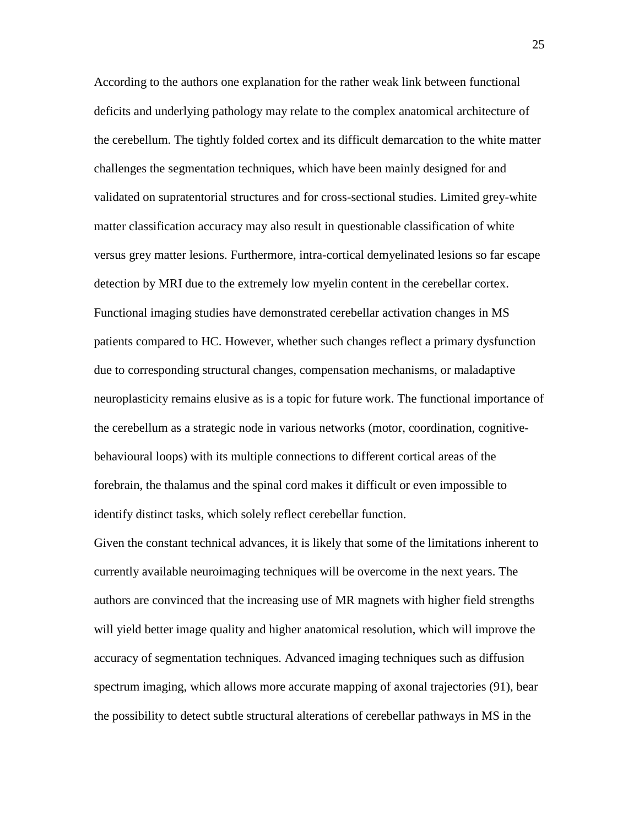According to the authors one explanation for the rather weak link between functional deficits and underlying pathology may relate to the complex anatomical architecture of the cerebellum. The tightly folded cortex and its difficult demarcation to the white matter challenges the segmentation techniques, which have been mainly designed for and validated on supratentorial structures and for cross-sectional studies. Limited grey-white matter classification accuracy may also result in questionable classification of white versus grey matter lesions. Furthermore, intra-cortical demyelinated lesions so far escape detection by MRI due to the extremely low myelin content in the cerebellar cortex. Functional imaging studies have demonstrated cerebellar activation changes in MS patients compared to HC. However, whether such changes reflect a primary dysfunction due to corresponding structural changes, compensation mechanisms, or maladaptive neuroplasticity remains elusive as is a topic for future work. The functional importance of the cerebellum as a strategic node in various networks (motor, coordination, cognitivebehavioural loops) with its multiple connections to different cortical areas of the forebrain, the thalamus and the spinal cord makes it difficult or even impossible to identify distinct tasks, which solely reflect cerebellar function.

Given the constant technical advances, it is likely that some of the limitations inherent to currently available neuroimaging techniques will be overcome in the next years. The authors are convinced that the increasing use of MR magnets with higher field strengths will yield better image quality and higher anatomical resolution, which will improve the accuracy of segmentation techniques. Advanced imaging techniques such as diffusion spectrum imaging, which allows more accurate mapping of [axonal](http://en.wikipedia.org/wiki/Axon) trajectories [\(91\)](#page-40-1), bear the possibility to detect subtle structural alterations of cerebellar pathways in MS in the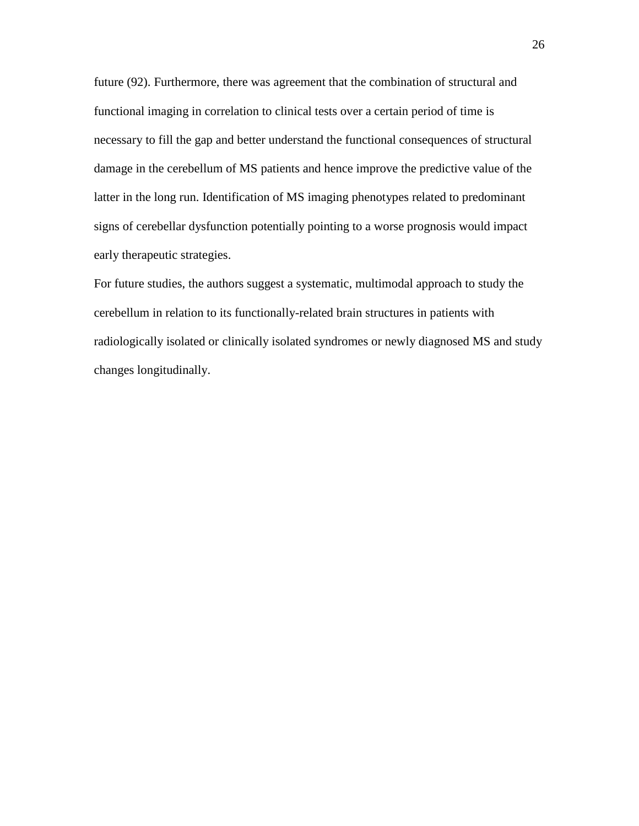future [\(92\)](#page-40-2). Furthermore, there was agreement that the combination of structural and functional imaging in correlation to clinical tests over a certain period of time is necessary to fill the gap and better understand the functional consequences of structural damage in the cerebellum of MS patients and hence improve the predictive value of the latter in the long run. Identification of MS imaging phenotypes related to predominant signs of cerebellar dysfunction potentially pointing to a worse prognosis would impact early therapeutic strategies.

For future studies, the authors suggest a systematic, multimodal approach to study the cerebellum in relation to its functionally-related brain structures in patients with radiologically isolated or clinically isolated syndromes or newly diagnosed MS and study changes longitudinally.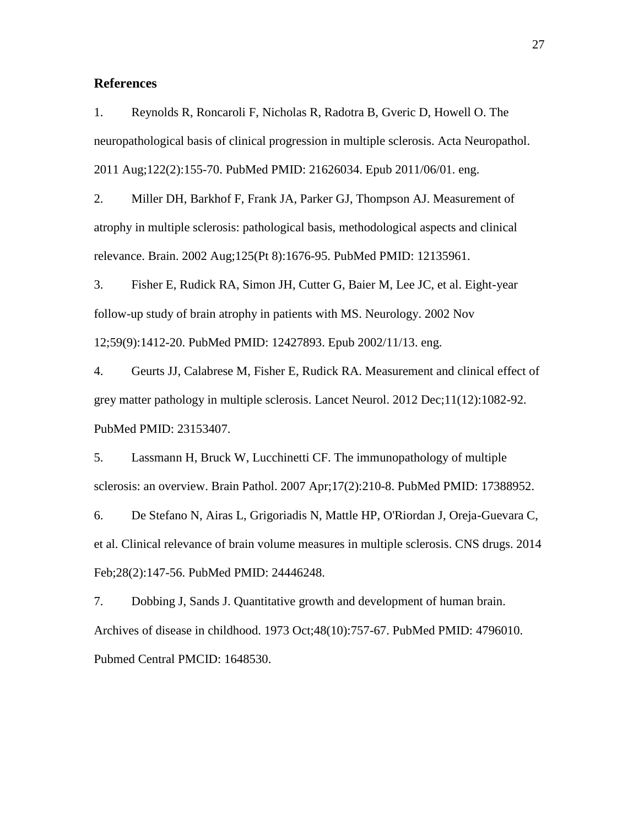#### **References**

<span id="page-27-0"></span>1. Reynolds R, Roncaroli F, Nicholas R, Radotra B, Gveric D, Howell O. The neuropathological basis of clinical progression in multiple sclerosis. Acta Neuropathol. 2011 Aug;122(2):155-70. PubMed PMID: 21626034. Epub 2011/06/01. eng.

2. Miller DH, Barkhof F, Frank JA, Parker GJ, Thompson AJ. Measurement of atrophy in multiple sclerosis: pathological basis, methodological aspects and clinical relevance. Brain. 2002 Aug;125(Pt 8):1676-95. PubMed PMID: 12135961.

3. Fisher E, Rudick RA, Simon JH, Cutter G, Baier M, Lee JC, et al. Eight-year follow-up study of brain atrophy in patients with MS. Neurology. 2002 Nov 12;59(9):1412-20. PubMed PMID: 12427893. Epub 2002/11/13. eng.

<span id="page-27-1"></span>4. Geurts JJ, Calabrese M, Fisher E, Rudick RA. Measurement and clinical effect of grey matter pathology in multiple sclerosis. Lancet Neurol. 2012 Dec;11(12):1082-92. PubMed PMID: 23153407.

<span id="page-27-2"></span>5. Lassmann H, Bruck W, Lucchinetti CF. The immunopathology of multiple sclerosis: an overview. Brain Pathol. 2007 Apr;17(2):210-8. PubMed PMID: 17388952.

<span id="page-27-3"></span>6. De Stefano N, Airas L, Grigoriadis N, Mattle HP, O'Riordan J, Oreja-Guevara C, et al. Clinical relevance of brain volume measures in multiple sclerosis. CNS drugs. 2014 Feb;28(2):147-56. PubMed PMID: 24446248.

<span id="page-27-4"></span>7. Dobbing J, Sands J. Quantitative growth and development of human brain. Archives of disease in childhood. 1973 Oct;48(10):757-67. PubMed PMID: 4796010. Pubmed Central PMCID: 1648530.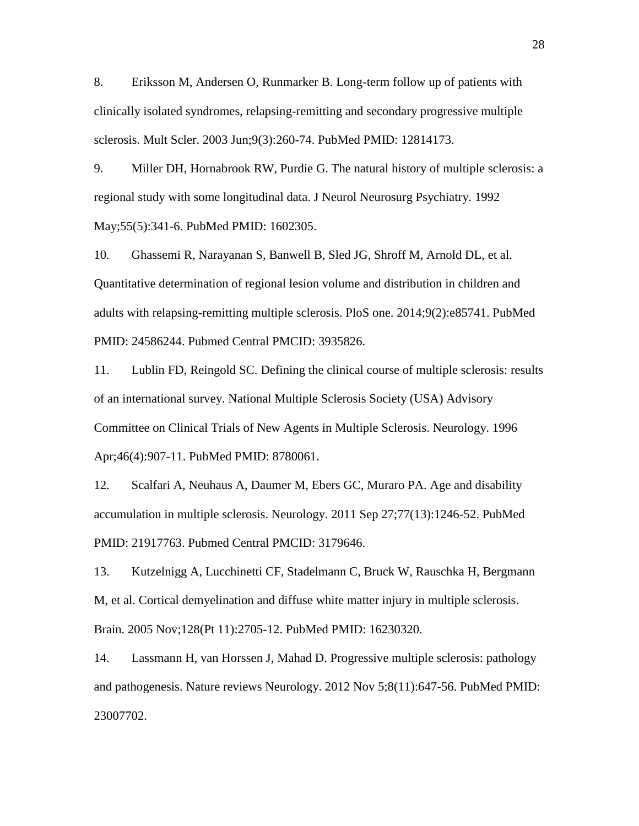<span id="page-28-0"></span>8. Eriksson M, Andersen O, Runmarker B. Long-term follow up of patients with clinically isolated syndromes, relapsing-remitting and secondary progressive multiple sclerosis. Mult Scler. 2003 Jun;9(3):260-74. PubMed PMID: 12814173.

<span id="page-28-1"></span>9. Miller DH, Hornabrook RW, Purdie G. The natural history of multiple sclerosis: a regional study with some longitudinal data. J Neurol Neurosurg Psychiatry. 1992 May;55(5):341-6. PubMed PMID: 1602305.

<span id="page-28-2"></span>10. Ghassemi R, Narayanan S, Banwell B, Sled JG, Shroff M, Arnold DL, et al. Quantitative determination of regional lesion volume and distribution in children and adults with relapsing-remitting multiple sclerosis. PloS one. 2014;9(2):e85741. PubMed PMID: 24586244. Pubmed Central PMCID: 3935826.

<span id="page-28-3"></span>11. Lublin FD, Reingold SC. Defining the clinical course of multiple sclerosis: results of an international survey. National Multiple Sclerosis Society (USA) Advisory Committee on Clinical Trials of New Agents in Multiple Sclerosis. Neurology. 1996 Apr;46(4):907-11. PubMed PMID: 8780061.

<span id="page-28-4"></span>12. Scalfari A, Neuhaus A, Daumer M, Ebers GC, Muraro PA. Age and disability accumulation in multiple sclerosis. Neurology. 2011 Sep 27;77(13):1246-52. PubMed PMID: 21917763. Pubmed Central PMCID: 3179646.

<span id="page-28-5"></span>13. Kutzelnigg A, Lucchinetti CF, Stadelmann C, Bruck W, Rauschka H, Bergmann M, et al. Cortical demyelination and diffuse white matter injury in multiple sclerosis. Brain. 2005 Nov;128(Pt 11):2705-12. PubMed PMID: 16230320.

<span id="page-28-6"></span>14. Lassmann H, van Horssen J, Mahad D. Progressive multiple sclerosis: pathology and pathogenesis. Nature reviews Neurology. 2012 Nov 5;8(11):647-56. PubMed PMID: 23007702.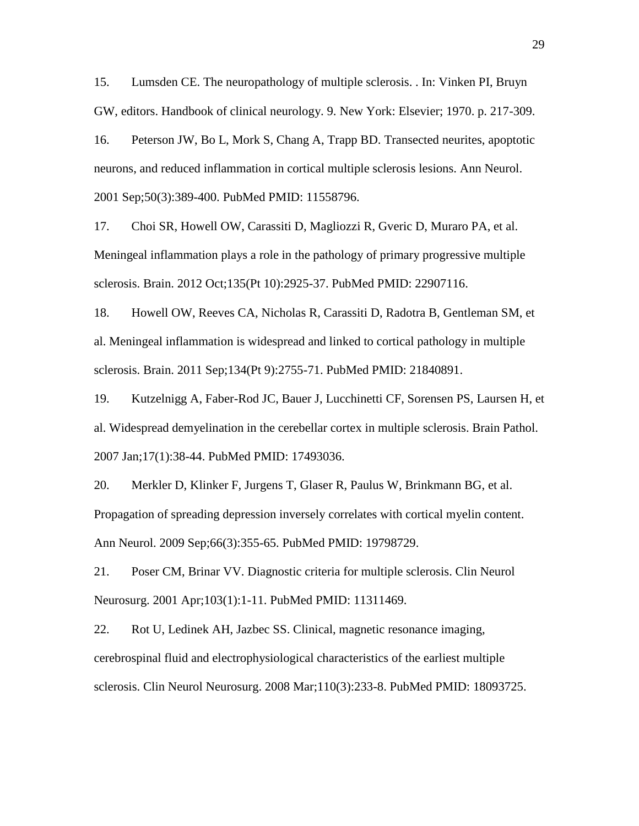<span id="page-29-0"></span>15. Lumsden CE. The neuropathology of multiple sclerosis. . In: Vinken PI, Bruyn GW, editors. Handbook of clinical neurology. 9. New York: Elsevier; 1970. p. 217-309.

<span id="page-29-1"></span>16. Peterson JW, Bo L, Mork S, Chang A, Trapp BD. Transected neurites, apoptotic neurons, and reduced inflammation in cortical multiple sclerosis lesions. Ann Neurol. 2001 Sep;50(3):389-400. PubMed PMID: 11558796.

<span id="page-29-2"></span>17. Choi SR, Howell OW, Carassiti D, Magliozzi R, Gveric D, Muraro PA, et al. Meningeal inflammation plays a role in the pathology of primary progressive multiple sclerosis. Brain. 2012 Oct;135(Pt 10):2925-37. PubMed PMID: 22907116.

<span id="page-29-3"></span>18. Howell OW, Reeves CA, Nicholas R, Carassiti D, Radotra B, Gentleman SM, et al. Meningeal inflammation is widespread and linked to cortical pathology in multiple sclerosis. Brain. 2011 Sep;134(Pt 9):2755-71. PubMed PMID: 21840891.

<span id="page-29-4"></span>19. Kutzelnigg A, Faber-Rod JC, Bauer J, Lucchinetti CF, Sorensen PS, Laursen H, et al. Widespread demyelination in the cerebellar cortex in multiple sclerosis. Brain Pathol. 2007 Jan;17(1):38-44. PubMed PMID: 17493036.

<span id="page-29-5"></span>20. Merkler D, Klinker F, Jurgens T, Glaser R, Paulus W, Brinkmann BG, et al. Propagation of spreading depression inversely correlates with cortical myelin content. Ann Neurol. 2009 Sep;66(3):355-65. PubMed PMID: 19798729.

<span id="page-29-6"></span>21. Poser CM, Brinar VV. Diagnostic criteria for multiple sclerosis. Clin Neurol Neurosurg. 2001 Apr;103(1):1-11. PubMed PMID: 11311469.

<span id="page-29-7"></span>22. Rot U, Ledinek AH, Jazbec SS. Clinical, magnetic resonance imaging, cerebrospinal fluid and electrophysiological characteristics of the earliest multiple sclerosis. Clin Neurol Neurosurg. 2008 Mar;110(3):233-8. PubMed PMID: 18093725.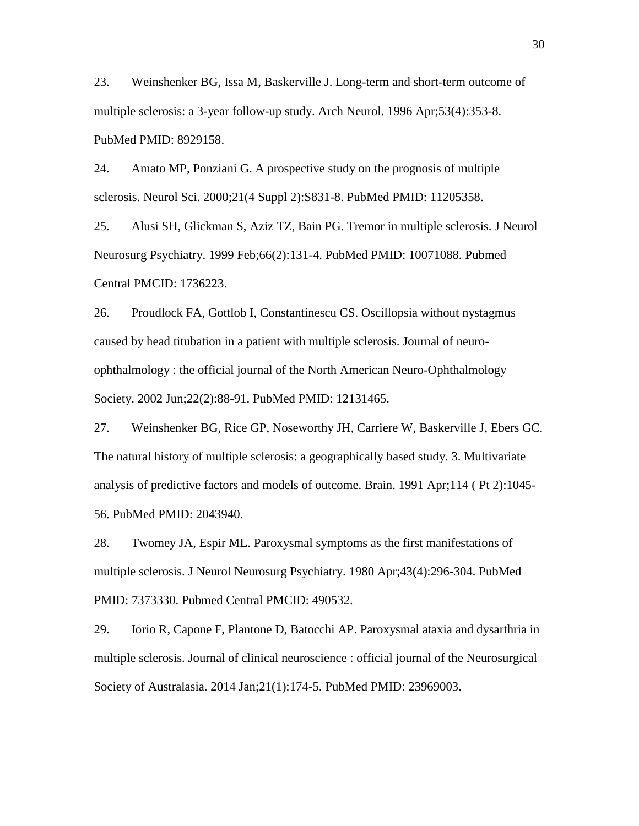<span id="page-30-0"></span>23. Weinshenker BG, Issa M, Baskerville J. Long-term and short-term outcome of multiple sclerosis: a 3-year follow-up study. Arch Neurol. 1996 Apr;53(4):353-8. PubMed PMID: 8929158.

<span id="page-30-1"></span>24. Amato MP, Ponziani G. A prospective study on the prognosis of multiple sclerosis. Neurol Sci. 2000;21(4 Suppl 2):S831-8. PubMed PMID: 11205358.

<span id="page-30-2"></span>25. Alusi SH, Glickman S, Aziz TZ, Bain PG. Tremor in multiple sclerosis. J Neurol Neurosurg Psychiatry. 1999 Feb;66(2):131-4. PubMed PMID: 10071088. Pubmed Central PMCID: 1736223.

<span id="page-30-3"></span>26. Proudlock FA, Gottlob I, Constantinescu CS. Oscillopsia without nystagmus caused by head titubation in a patient with multiple sclerosis. Journal of neuroophthalmology : the official journal of the North American Neuro-Ophthalmology Society. 2002 Jun;22(2):88-91. PubMed PMID: 12131465.

<span id="page-30-4"></span>27. Weinshenker BG, Rice GP, Noseworthy JH, Carriere W, Baskerville J, Ebers GC. The natural history of multiple sclerosis: a geographically based study. 3. Multivariate analysis of predictive factors and models of outcome. Brain. 1991 Apr;114 ( Pt 2):1045- 56. PubMed PMID: 2043940.

<span id="page-30-5"></span>28. Twomey JA, Espir ML. Paroxysmal symptoms as the first manifestations of multiple sclerosis. J Neurol Neurosurg Psychiatry. 1980 Apr;43(4):296-304. PubMed PMID: 7373330. Pubmed Central PMCID: 490532.

<span id="page-30-6"></span>29. Iorio R, Capone F, Plantone D, Batocchi AP. Paroxysmal ataxia and dysarthria in multiple sclerosis. Journal of clinical neuroscience : official journal of the Neurosurgical Society of Australasia. 2014 Jan;21(1):174-5. PubMed PMID: 23969003.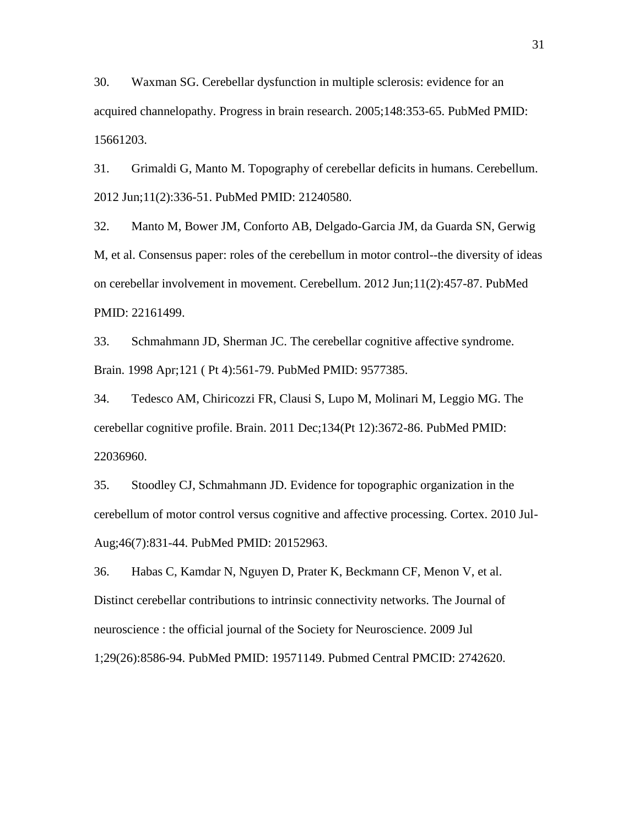<span id="page-31-0"></span>30. Waxman SG. Cerebellar dysfunction in multiple sclerosis: evidence for an acquired channelopathy. Progress in brain research. 2005;148:353-65. PubMed PMID: 15661203.

<span id="page-31-1"></span>31. Grimaldi G, Manto M. Topography of cerebellar deficits in humans. Cerebellum. 2012 Jun;11(2):336-51. PubMed PMID: 21240580.

<span id="page-31-2"></span>32. Manto M, Bower JM, Conforto AB, Delgado-Garcia JM, da Guarda SN, Gerwig M, et al. Consensus paper: roles of the cerebellum in motor control--the diversity of ideas on cerebellar involvement in movement. Cerebellum. 2012 Jun;11(2):457-87. PubMed PMID: 22161499.

<span id="page-31-3"></span>33. Schmahmann JD, Sherman JC. The cerebellar cognitive affective syndrome. Brain. 1998 Apr;121 ( Pt 4):561-79. PubMed PMID: 9577385.

<span id="page-31-4"></span>34. Tedesco AM, Chiricozzi FR, Clausi S, Lupo M, Molinari M, Leggio MG. The cerebellar cognitive profile. Brain. 2011 Dec;134(Pt 12):3672-86. PubMed PMID: 22036960.

<span id="page-31-5"></span>35. Stoodley CJ, Schmahmann JD. Evidence for topographic organization in the cerebellum of motor control versus cognitive and affective processing. Cortex. 2010 Jul-Aug;46(7):831-44. PubMed PMID: 20152963.

<span id="page-31-6"></span>36. Habas C, Kamdar N, Nguyen D, Prater K, Beckmann CF, Menon V, et al. Distinct cerebellar contributions to intrinsic connectivity networks. The Journal of neuroscience : the official journal of the Society for Neuroscience. 2009 Jul 1;29(26):8586-94. PubMed PMID: 19571149. Pubmed Central PMCID: 2742620.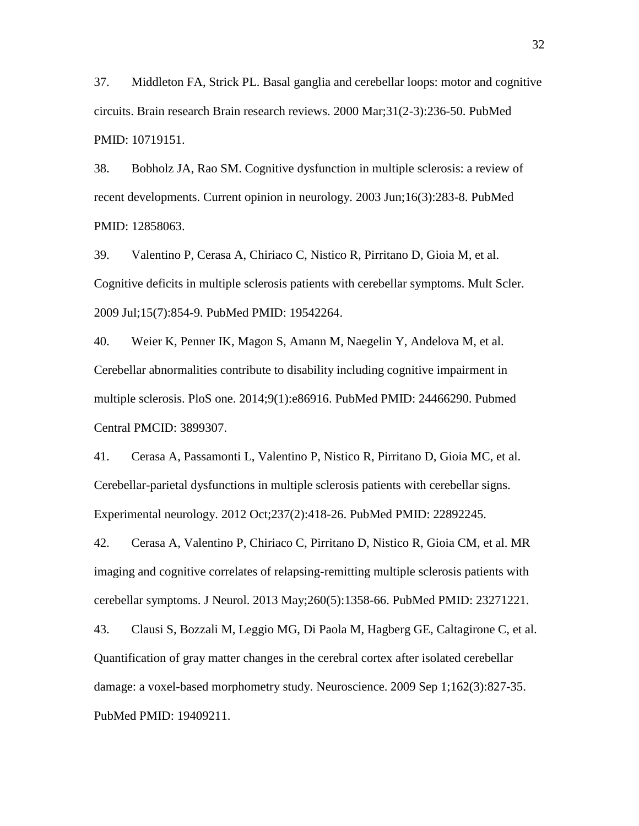<span id="page-32-0"></span>37. Middleton FA, Strick PL. Basal ganglia and cerebellar loops: motor and cognitive circuits. Brain research Brain research reviews. 2000 Mar;31(2-3):236-50. PubMed PMID: 10719151.

<span id="page-32-1"></span>38. Bobholz JA, Rao SM. Cognitive dysfunction in multiple sclerosis: a review of recent developments. Current opinion in neurology. 2003 Jun;16(3):283-8. PubMed PMID: 12858063.

<span id="page-32-2"></span>39. Valentino P, Cerasa A, Chiriaco C, Nistico R, Pirritano D, Gioia M, et al. Cognitive deficits in multiple sclerosis patients with cerebellar symptoms. Mult Scler. 2009 Jul;15(7):854-9. PubMed PMID: 19542264.

<span id="page-32-3"></span>40. Weier K, Penner IK, Magon S, Amann M, Naegelin Y, Andelova M, et al. Cerebellar abnormalities contribute to disability including cognitive impairment in multiple sclerosis. PloS one. 2014;9(1):e86916. PubMed PMID: 24466290. Pubmed Central PMCID: 3899307.

<span id="page-32-4"></span>41. Cerasa A, Passamonti L, Valentino P, Nistico R, Pirritano D, Gioia MC, et al. Cerebellar-parietal dysfunctions in multiple sclerosis patients with cerebellar signs. Experimental neurology. 2012 Oct;237(2):418-26. PubMed PMID: 22892245.

<span id="page-32-5"></span>42. Cerasa A, Valentino P, Chiriaco C, Pirritano D, Nistico R, Gioia CM, et al. MR imaging and cognitive correlates of relapsing-remitting multiple sclerosis patients with cerebellar symptoms. J Neurol. 2013 May;260(5):1358-66. PubMed PMID: 23271221.

<span id="page-32-6"></span>43. Clausi S, Bozzali M, Leggio MG, Di Paola M, Hagberg GE, Caltagirone C, et al. Quantification of gray matter changes in the cerebral cortex after isolated cerebellar damage: a voxel-based morphometry study. Neuroscience. 2009 Sep 1;162(3):827-35. PubMed PMID: 19409211.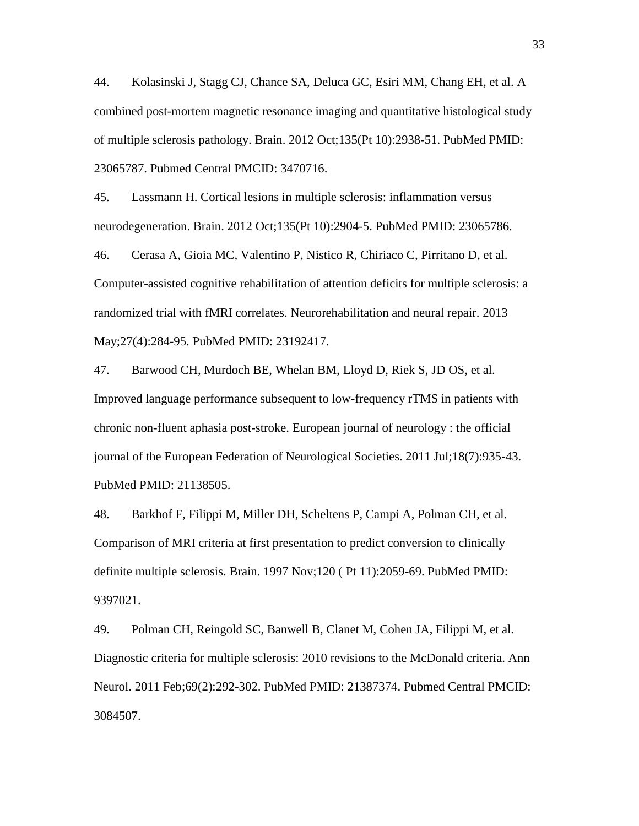<span id="page-33-0"></span>44. Kolasinski J, Stagg CJ, Chance SA, Deluca GC, Esiri MM, Chang EH, et al. A combined post-mortem magnetic resonance imaging and quantitative histological study of multiple sclerosis pathology. Brain. 2012 Oct;135(Pt 10):2938-51. PubMed PMID: 23065787. Pubmed Central PMCID: 3470716.

<span id="page-33-1"></span>45. Lassmann H. Cortical lesions in multiple sclerosis: inflammation versus neurodegeneration. Brain. 2012 Oct;135(Pt 10):2904-5. PubMed PMID: 23065786.

<span id="page-33-2"></span>46. Cerasa A, Gioia MC, Valentino P, Nistico R, Chiriaco C, Pirritano D, et al. Computer-assisted cognitive rehabilitation of attention deficits for multiple sclerosis: a randomized trial with fMRI correlates. Neurorehabilitation and neural repair. 2013 May;27(4):284-95. PubMed PMID: 23192417.

<span id="page-33-3"></span>47. Barwood CH, Murdoch BE, Whelan BM, Lloyd D, Riek S, JD OS, et al. Improved language performance subsequent to low-frequency rTMS in patients with chronic non-fluent aphasia post-stroke. European journal of neurology : the official journal of the European Federation of Neurological Societies. 2011 Jul;18(7):935-43. PubMed PMID: 21138505.

<span id="page-33-4"></span>48. Barkhof F, Filippi M, Miller DH, Scheltens P, Campi A, Polman CH, et al. Comparison of MRI criteria at first presentation to predict conversion to clinically definite multiple sclerosis. Brain. 1997 Nov;120 ( Pt 11):2059-69. PubMed PMID: 9397021.

<span id="page-33-5"></span>49. Polman CH, Reingold SC, Banwell B, Clanet M, Cohen JA, Filippi M, et al. Diagnostic criteria for multiple sclerosis: 2010 revisions to the McDonald criteria. Ann Neurol. 2011 Feb;69(2):292-302. PubMed PMID: 21387374. Pubmed Central PMCID: 3084507.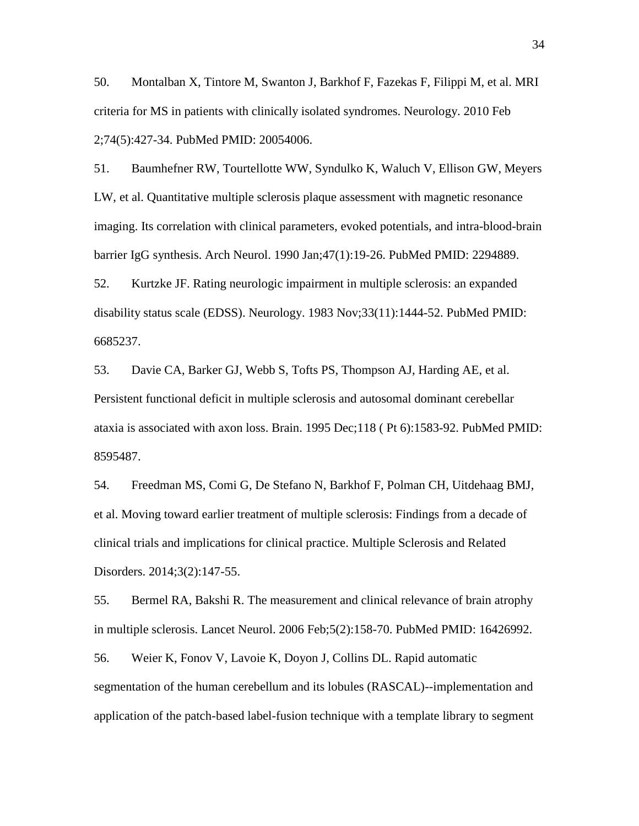<span id="page-34-0"></span>50. Montalban X, Tintore M, Swanton J, Barkhof F, Fazekas F, Filippi M, et al. MRI criteria for MS in patients with clinically isolated syndromes. Neurology. 2010 Feb 2;74(5):427-34. PubMed PMID: 20054006.

<span id="page-34-1"></span>51. Baumhefner RW, Tourtellotte WW, Syndulko K, Waluch V, Ellison GW, Meyers LW, et al. Quantitative multiple sclerosis plaque assessment with magnetic resonance imaging. Its correlation with clinical parameters, evoked potentials, and intra-blood-brain barrier IgG synthesis. Arch Neurol. 1990 Jan;47(1):19-26. PubMed PMID: 2294889.

<span id="page-34-2"></span>52. Kurtzke JF. Rating neurologic impairment in multiple sclerosis: an expanded disability status scale (EDSS). Neurology. 1983 Nov;33(11):1444-52. PubMed PMID: 6685237.

<span id="page-34-3"></span>53. Davie CA, Barker GJ, Webb S, Tofts PS, Thompson AJ, Harding AE, et al. Persistent functional deficit in multiple sclerosis and autosomal dominant cerebellar ataxia is associated with axon loss. Brain. 1995 Dec;118 ( Pt 6):1583-92. PubMed PMID: 8595487.

<span id="page-34-4"></span>54. Freedman MS, Comi G, De Stefano N, Barkhof F, Polman CH, Uitdehaag BMJ, et al. Moving toward earlier treatment of multiple sclerosis: Findings from a decade of clinical trials and implications for clinical practice. Multiple Sclerosis and Related Disorders. 2014;3(2):147-55.

<span id="page-34-5"></span>55. Bermel RA, Bakshi R. The measurement and clinical relevance of brain atrophy in multiple sclerosis. Lancet Neurol. 2006 Feb;5(2):158-70. PubMed PMID: 16426992.

<span id="page-34-6"></span>56. Weier K, Fonov V, Lavoie K, Doyon J, Collins DL. Rapid automatic segmentation of the human cerebellum and its lobules (RASCAL)--implementation and application of the patch-based label-fusion technique with a template library to segment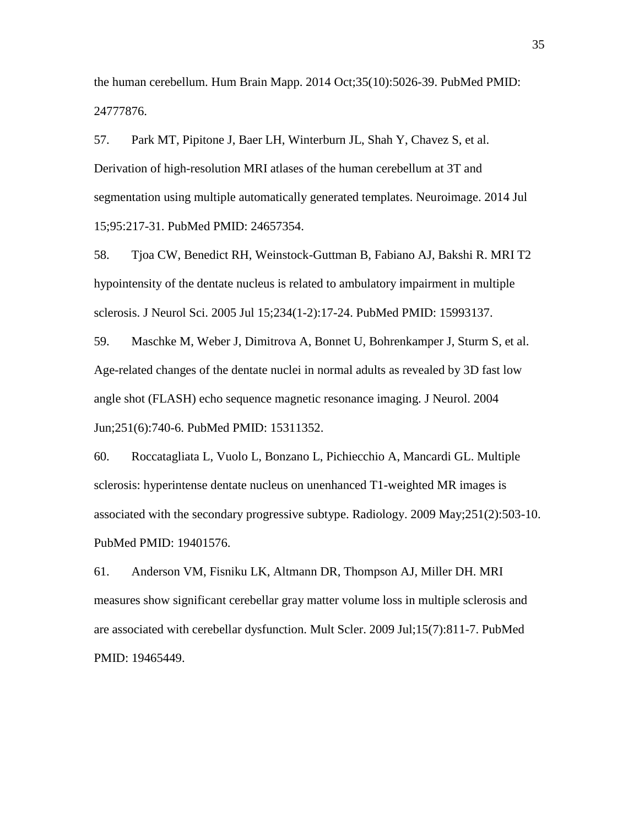the human cerebellum. Hum Brain Mapp. 2014 Oct;35(10):5026-39. PubMed PMID: 24777876.

<span id="page-35-0"></span>57. Park MT, Pipitone J, Baer LH, Winterburn JL, Shah Y, Chavez S, et al. Derivation of high-resolution MRI atlases of the human cerebellum at 3T and segmentation using multiple automatically generated templates. Neuroimage. 2014 Jul 15;95:217-31. PubMed PMID: 24657354.

<span id="page-35-1"></span>58. Tjoa CW, Benedict RH, Weinstock-Guttman B, Fabiano AJ, Bakshi R. MRI T2 hypointensity of the dentate nucleus is related to ambulatory impairment in multiple sclerosis. J Neurol Sci. 2005 Jul 15;234(1-2):17-24. PubMed PMID: 15993137.

<span id="page-35-2"></span>59. Maschke M, Weber J, Dimitrova A, Bonnet U, Bohrenkamper J, Sturm S, et al. Age-related changes of the dentate nuclei in normal adults as revealed by 3D fast low angle shot (FLASH) echo sequence magnetic resonance imaging. J Neurol. 2004 Jun;251(6):740-6. PubMed PMID: 15311352.

<span id="page-35-3"></span>60. Roccatagliata L, Vuolo L, Bonzano L, Pichiecchio A, Mancardi GL. Multiple sclerosis: hyperintense dentate nucleus on unenhanced T1-weighted MR images is associated with the secondary progressive subtype. Radiology. 2009 May;251(2):503-10. PubMed PMID: 19401576.

<span id="page-35-4"></span>61. Anderson VM, Fisniku LK, Altmann DR, Thompson AJ, Miller DH. MRI measures show significant cerebellar gray matter volume loss in multiple sclerosis and are associated with cerebellar dysfunction. Mult Scler. 2009 Jul;15(7):811-7. PubMed PMID: 19465449.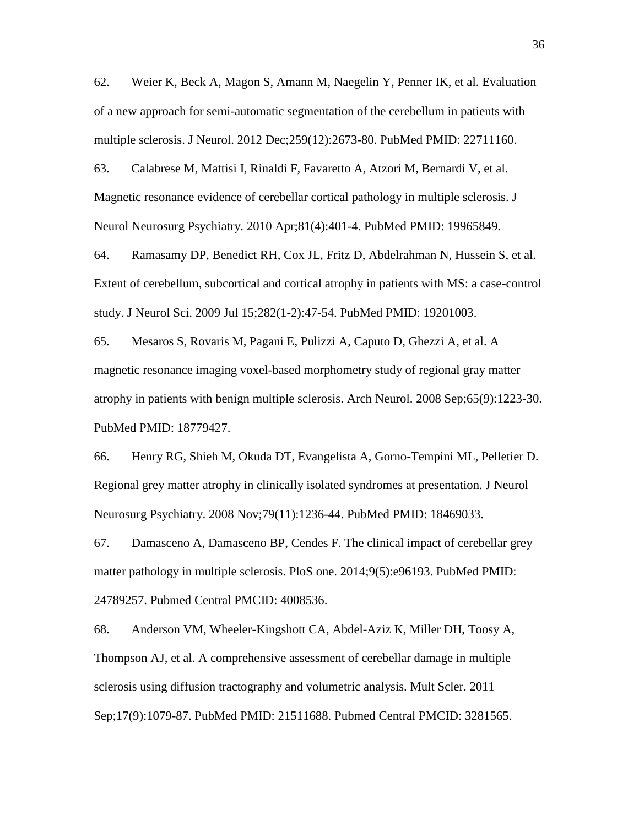<span id="page-36-3"></span>62. Weier K, Beck A, Magon S, Amann M, Naegelin Y, Penner IK, et al. Evaluation of a new approach for semi-automatic segmentation of the cerebellum in patients with multiple sclerosis. J Neurol. 2012 Dec;259(12):2673-80. PubMed PMID: 22711160.

<span id="page-36-0"></span>63. Calabrese M, Mattisi I, Rinaldi F, Favaretto A, Atzori M, Bernardi V, et al. Magnetic resonance evidence of cerebellar cortical pathology in multiple sclerosis. J Neurol Neurosurg Psychiatry. 2010 Apr;81(4):401-4. PubMed PMID: 19965849.

64. Ramasamy DP, Benedict RH, Cox JL, Fritz D, Abdelrahman N, Hussein S, et al. Extent of cerebellum, subcortical and cortical atrophy in patients with MS: a case-control study. J Neurol Sci. 2009 Jul 15;282(1-2):47-54. PubMed PMID: 19201003.

<span id="page-36-1"></span>65. Mesaros S, Rovaris M, Pagani E, Pulizzi A, Caputo D, Ghezzi A, et al. A magnetic resonance imaging voxel-based morphometry study of regional gray matter atrophy in patients with benign multiple sclerosis. Arch Neurol. 2008 Sep;65(9):1223-30. PubMed PMID: 18779427.

<span id="page-36-2"></span>66. Henry RG, Shieh M, Okuda DT, Evangelista A, Gorno-Tempini ML, Pelletier D. Regional grey matter atrophy in clinically isolated syndromes at presentation. J Neurol Neurosurg Psychiatry. 2008 Nov;79(11):1236-44. PubMed PMID: 18469033.

<span id="page-36-4"></span>67. Damasceno A, Damasceno BP, Cendes F. The clinical impact of cerebellar grey matter pathology in multiple sclerosis. PloS one. 2014;9(5):e96193. PubMed PMID: 24789257. Pubmed Central PMCID: 4008536.

<span id="page-36-5"></span>68. Anderson VM, Wheeler-Kingshott CA, Abdel-Aziz K, Miller DH, Toosy A, Thompson AJ, et al. A comprehensive assessment of cerebellar damage in multiple sclerosis using diffusion tractography and volumetric analysis. Mult Scler. 2011 Sep;17(9):1079-87. PubMed PMID: 21511688. Pubmed Central PMCID: 3281565.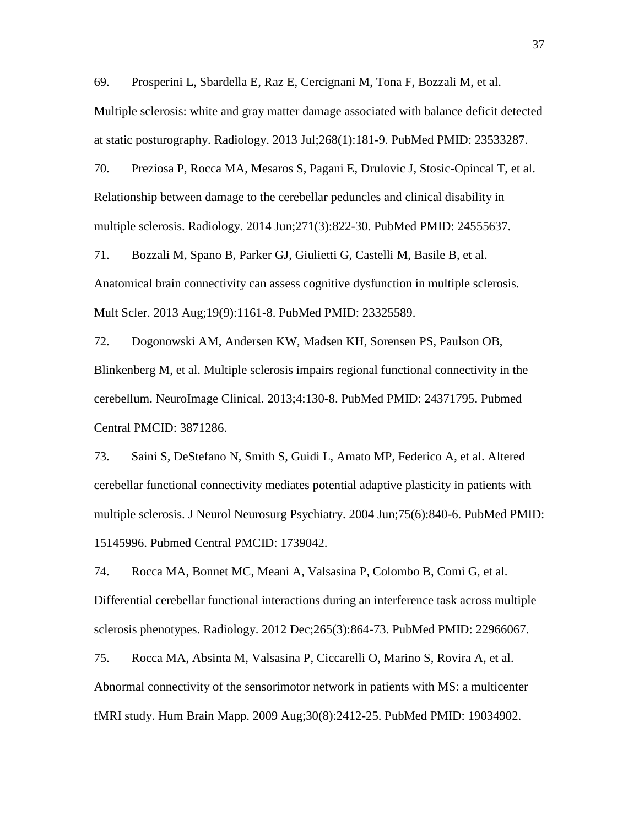<span id="page-37-0"></span>69. Prosperini L, Sbardella E, Raz E, Cercignani M, Tona F, Bozzali M, et al. Multiple sclerosis: white and gray matter damage associated with balance deficit detected at static posturography. Radiology. 2013 Jul;268(1):181-9. PubMed PMID: 23533287.

<span id="page-37-1"></span>70. Preziosa P, Rocca MA, Mesaros S, Pagani E, Drulovic J, Stosic-Opincal T, et al. Relationship between damage to the cerebellar peduncles and clinical disability in multiple sclerosis. Radiology. 2014 Jun;271(3):822-30. PubMed PMID: 24555637.

<span id="page-37-2"></span>71. Bozzali M, Spano B, Parker GJ, Giulietti G, Castelli M, Basile B, et al. Anatomical brain connectivity can assess cognitive dysfunction in multiple sclerosis. Mult Scler. 2013 Aug;19(9):1161-8. PubMed PMID: 23325589.

<span id="page-37-3"></span>72. Dogonowski AM, Andersen KW, Madsen KH, Sorensen PS, Paulson OB, Blinkenberg M, et al. Multiple sclerosis impairs regional functional connectivity in the cerebellum. NeuroImage Clinical. 2013;4:130-8. PubMed PMID: 24371795. Pubmed Central PMCID: 3871286.

<span id="page-37-4"></span>73. Saini S, DeStefano N, Smith S, Guidi L, Amato MP, Federico A, et al. Altered cerebellar functional connectivity mediates potential adaptive plasticity in patients with multiple sclerosis. J Neurol Neurosurg Psychiatry. 2004 Jun;75(6):840-6. PubMed PMID: 15145996. Pubmed Central PMCID: 1739042.

<span id="page-37-5"></span>74. Rocca MA, Bonnet MC, Meani A, Valsasina P, Colombo B, Comi G, et al. Differential cerebellar functional interactions during an interference task across multiple sclerosis phenotypes. Radiology. 2012 Dec;265(3):864-73. PubMed PMID: 22966067.

<span id="page-37-6"></span>75. Rocca MA, Absinta M, Valsasina P, Ciccarelli O, Marino S, Rovira A, et al. Abnormal connectivity of the sensorimotor network in patients with MS: a multicenter fMRI study. Hum Brain Mapp. 2009 Aug;30(8):2412-25. PubMed PMID: 19034902.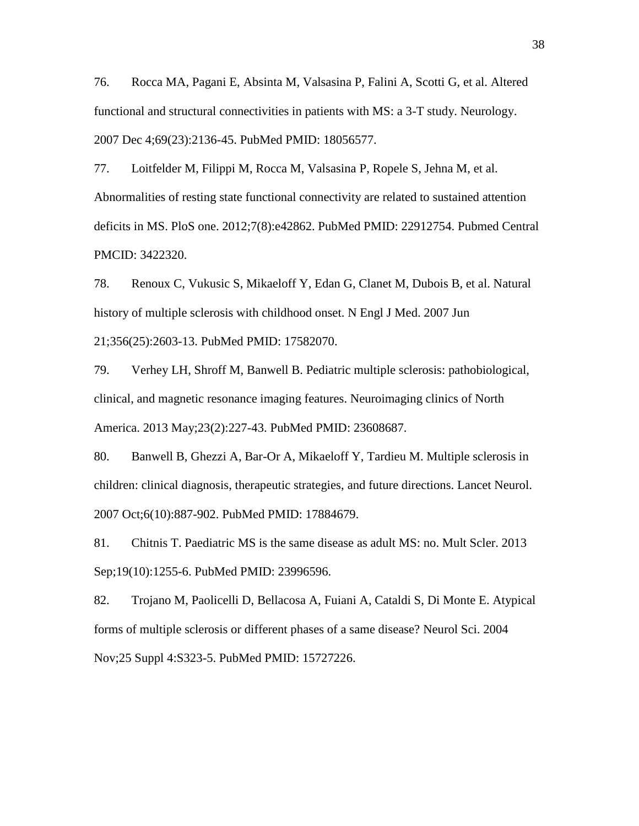<span id="page-38-0"></span>76. Rocca MA, Pagani E, Absinta M, Valsasina P, Falini A, Scotti G, et al. Altered functional and structural connectivities in patients with MS: a 3-T study. Neurology. 2007 Dec 4;69(23):2136-45. PubMed PMID: 18056577.

<span id="page-38-1"></span>77. Loitfelder M, Filippi M, Rocca M, Valsasina P, Ropele S, Jehna M, et al. Abnormalities of resting state functional connectivity are related to sustained attention deficits in MS. PloS one. 2012;7(8):e42862. PubMed PMID: 22912754. Pubmed Central PMCID: 3422320.

<span id="page-38-2"></span>78. Renoux C, Vukusic S, Mikaeloff Y, Edan G, Clanet M, Dubois B, et al. Natural history of multiple sclerosis with childhood onset. N Engl J Med. 2007 Jun

21;356(25):2603-13. PubMed PMID: 17582070.

<span id="page-38-3"></span>79. Verhey LH, Shroff M, Banwell B. Pediatric multiple sclerosis: pathobiological, clinical, and magnetic resonance imaging features. Neuroimaging clinics of North America. 2013 May;23(2):227-43. PubMed PMID: 23608687.

<span id="page-38-4"></span>80. Banwell B, Ghezzi A, Bar-Or A, Mikaeloff Y, Tardieu M. Multiple sclerosis in children: clinical diagnosis, therapeutic strategies, and future directions. Lancet Neurol. 2007 Oct;6(10):887-902. PubMed PMID: 17884679.

<span id="page-38-5"></span>81. Chitnis T. Paediatric MS is the same disease as adult MS: no. Mult Scler. 2013 Sep;19(10):1255-6. PubMed PMID: 23996596.

<span id="page-38-6"></span>82. Trojano M, Paolicelli D, Bellacosa A, Fuiani A, Cataldi S, Di Monte E. Atypical forms of multiple sclerosis or different phases of a same disease? Neurol Sci. 2004 Nov;25 Suppl 4:S323-5. PubMed PMID: 15727226.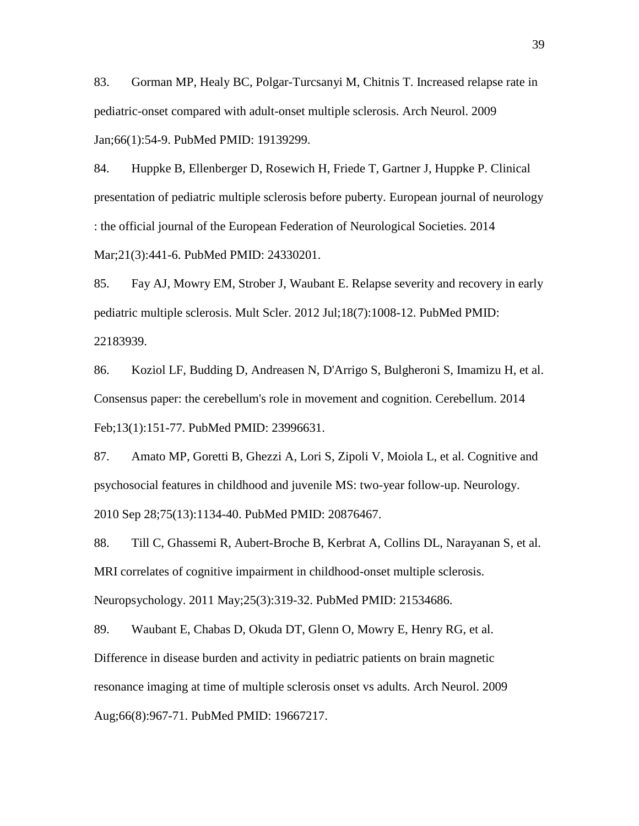<span id="page-39-0"></span>83. Gorman MP, Healy BC, Polgar-Turcsanyi M, Chitnis T. Increased relapse rate in pediatric-onset compared with adult-onset multiple sclerosis. Arch Neurol. 2009 Jan;66(1):54-9. PubMed PMID: 19139299.

<span id="page-39-1"></span>84. Huppke B, Ellenberger D, Rosewich H, Friede T, Gartner J, Huppke P. Clinical presentation of pediatric multiple sclerosis before puberty. European journal of neurology : the official journal of the European Federation of Neurological Societies. 2014 Mar;21(3):441-6. PubMed PMID: 24330201.

<span id="page-39-2"></span>85. Fay AJ, Mowry EM, Strober J, Waubant E. Relapse severity and recovery in early pediatric multiple sclerosis. Mult Scler. 2012 Jul;18(7):1008-12. PubMed PMID: 22183939.

<span id="page-39-3"></span>86. Koziol LF, Budding D, Andreasen N, D'Arrigo S, Bulgheroni S, Imamizu H, et al. Consensus paper: the cerebellum's role in movement and cognition. Cerebellum. 2014 Feb;13(1):151-77. PubMed PMID: 23996631.

<span id="page-39-4"></span>87. Amato MP, Goretti B, Ghezzi A, Lori S, Zipoli V, Moiola L, et al. Cognitive and psychosocial features in childhood and juvenile MS: two-year follow-up. Neurology. 2010 Sep 28;75(13):1134-40. PubMed PMID: 20876467.

<span id="page-39-5"></span>88. Till C, Ghassemi R, Aubert-Broche B, Kerbrat A, Collins DL, Narayanan S, et al. MRI correlates of cognitive impairment in childhood-onset multiple sclerosis. Neuropsychology. 2011 May;25(3):319-32. PubMed PMID: 21534686.

<span id="page-39-6"></span>89. Waubant E, Chabas D, Okuda DT, Glenn O, Mowry E, Henry RG, et al. Difference in disease burden and activity in pediatric patients on brain magnetic resonance imaging at time of multiple sclerosis onset vs adults. Arch Neurol. 2009 Aug;66(8):967-71. PubMed PMID: 19667217.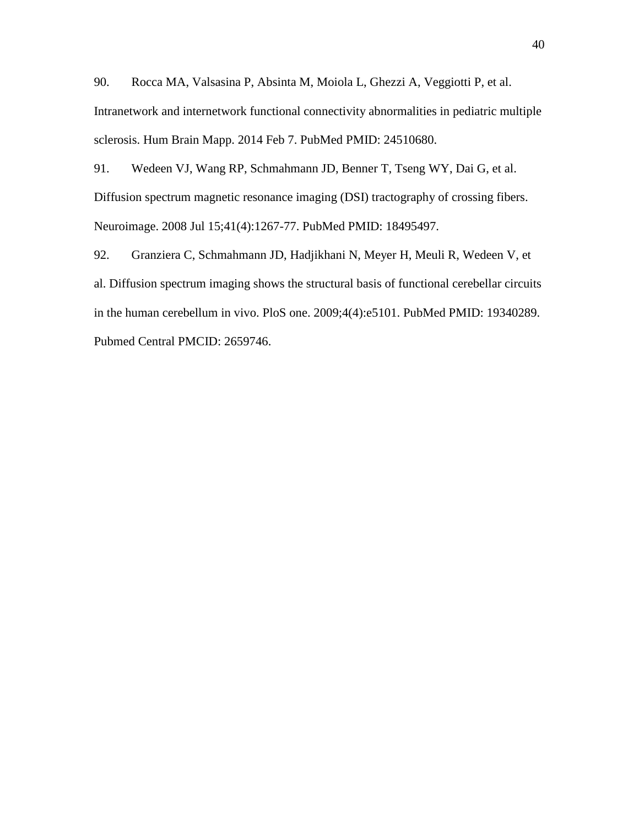<span id="page-40-0"></span>90. Rocca MA, Valsasina P, Absinta M, Moiola L, Ghezzi A, Veggiotti P, et al. Intranetwork and internetwork functional connectivity abnormalities in pediatric multiple sclerosis. Hum Brain Mapp. 2014 Feb 7. PubMed PMID: 24510680.

<span id="page-40-1"></span>91. Wedeen VJ, Wang RP, Schmahmann JD, Benner T, Tseng WY, Dai G, et al. Diffusion spectrum magnetic resonance imaging (DSI) tractography of crossing fibers. Neuroimage. 2008 Jul 15;41(4):1267-77. PubMed PMID: 18495497.

<span id="page-40-2"></span>92. Granziera C, Schmahmann JD, Hadjikhani N, Meyer H, Meuli R, Wedeen V, et al. Diffusion spectrum imaging shows the structural basis of functional cerebellar circuits in the human cerebellum in vivo. PloS one. 2009;4(4):e5101. PubMed PMID: 19340289. Pubmed Central PMCID: 2659746.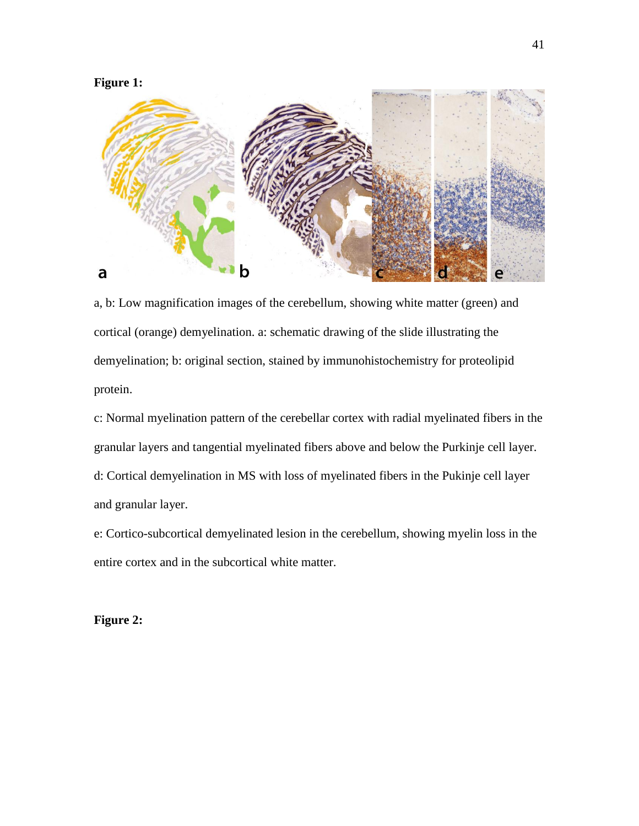

a, b: Low magnification images of the cerebellum, showing white matter (green) and cortical (orange) demyelination. a: schematic drawing of the slide illustrating the demyelination; b: original section, stained by immunohistochemistry for proteolipid protein.

c: Normal myelination pattern of the cerebellar cortex with radial myelinated fibers in the granular layers and tangential myelinated fibers above and below the Purkinje cell layer. d: Cortical demyelination in MS with loss of myelinated fibers in the Pukinje cell layer and granular layer.

e: Cortico-subcortical demyelinated lesion in the cerebellum, showing myelin loss in the entire cortex and in the subcortical white matter.

**Figure 2:**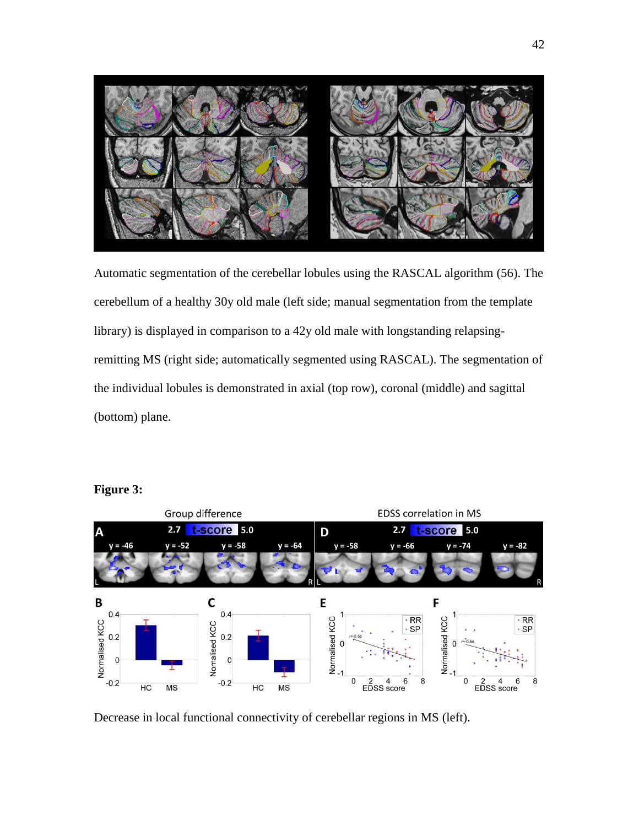

Automatic segmentation of the cerebellar lobules using the RASCAL algorithm [\(56\)](#page-34-6). The cerebellum of a healthy 30y old male (left side; manual segmentation from the template library) is displayed in comparison to a 42y old male with longstanding relapsingremitting MS (right side; automatically segmented using RASCAL). The segmentation of the individual lobules is demonstrated in axial (top row), coronal (middle) and sagittal (bottom) plane.



#### **Figure 3:**

Decrease in local functional connectivity of cerebellar regions in MS (left).